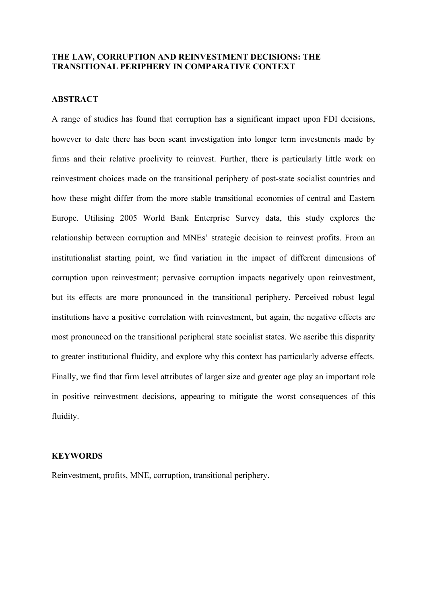## **THE LAW, CORRUPTION AND REINVESTMENT DECISIONS: THE TRANSITIONAL PERIPHERY IN COMPARATIVE CONTEXT**

## **ABSTRACT**

A range of studies has found that corruption has a significant impact upon FDI decisions, however to date there has been scant investigation into longer term investments made by firms and their relative proclivity to reinvest. Further, there is particularly little work on reinvestment choices made on the transitional periphery of post-state socialist countries and how these might differ from the more stable transitional economies of central and Eastern Europe. Utilising 2005 World Bank Enterprise Survey data, this study explores the relationship between corruption and MNEs' strategic decision to reinvest profits. From an institutionalist starting point, we find variation in the impact of different dimensions of corruption upon reinvestment; pervasive corruption impacts negatively upon reinvestment, but its effects are more pronounced in the transitional periphery. Perceived robust legal institutions have a positive correlation with reinvestment, but again, the negative effects are most pronounced on the transitional peripheral state socialist states. We ascribe this disparity to greater institutional fluidity, and explore why this context has particularly adverse effects. Finally, we find that firm level attributes of larger size and greater age play an important role in positive reinvestment decisions, appearing to mitigate the worst consequences of this fluidity.

## **KEYWORDS**

Reinvestment, profits, MNE, corruption, transitional periphery.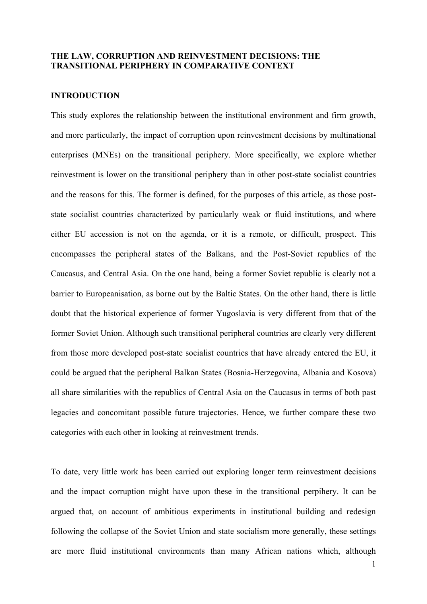# **THE LAW, CORRUPTION AND REINVESTMENT DECISIONS: THE TRANSITIONAL PERIPHERY IN COMPARATIVE CONTEXT**

## **INTRODUCTION**

This study explores the relationship between the institutional environment and firm growth, and more particularly, the impact of corruption upon reinvestment decisions by multinational enterprises (MNEs) on the transitional periphery. More specifically, we explore whether reinvestment is lower on the transitional periphery than in other post-state socialist countries and the reasons for this. The former is defined, for the purposes of this article, as those poststate socialist countries characterized by particularly weak or fluid institutions, and where either EU accession is not on the agenda, or it is a remote, or difficult, prospect. This encompasses the peripheral states of the Balkans, and the Post-Soviet republics of the Caucasus, and Central Asia. On the one hand, being a former Soviet republic is clearly not a barrier to Europeanisation, as borne out by the Baltic States. On the other hand, there is little doubt that the historical experience of former Yugoslavia is very different from that of the former Soviet Union. Although such transitional peripheral countries are clearly very different from those more developed post-state socialist countries that have already entered the EU, it could be argued that the peripheral Balkan States (Bosnia-Herzegovina, Albania and Kosova) all share similarities with the republics of Central Asia on the Caucasus in terms of both past legacies and concomitant possible future trajectories. Hence, we further compare these two categories with each other in looking at reinvestment trends.

To date, very little work has been carried out exploring longer term reinvestment decisions and the impact corruption might have upon these in the transitional perpihery. It can be argued that, on account of ambitious experiments in institutional building and redesign following the collapse of the Soviet Union and state socialism more generally, these settings are more fluid institutional environments than many African nations which, although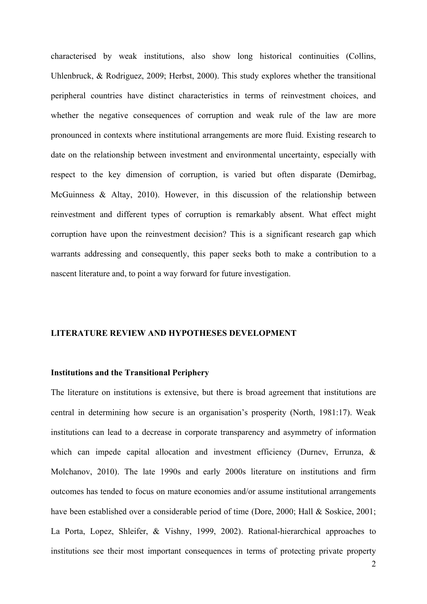characterised by weak institutions, also show long historical continuities (Collins, Uhlenbruck, & Rodriguez, 2009; Herbst, 2000). This study explores whether the transitional peripheral countries have distinct characteristics in terms of reinvestment choices, and whether the negative consequences of corruption and weak rule of the law are more pronounced in contexts where institutional arrangements are more fluid. Existing research to date on the relationship between investment and environmental uncertainty, especially with respect to the key dimension of corruption, is varied but often disparate (Demirbag, McGuinness & Altay, 2010). However, in this discussion of the relationship between reinvestment and different types of corruption is remarkably absent. What effect might corruption have upon the reinvestment decision? This is a significant research gap which warrants addressing and consequently, this paper seeks both to make a contribution to a nascent literature and, to point a way forward for future investigation.

### **LITERATURE REVIEW AND HYPOTHESES DEVELOPMENT**

#### **Institutions and the Transitional Periphery**

The literature on institutions is extensive, but there is broad agreement that institutions are central in determining how secure is an organisation's prosperity (North, 1981:17). Weak institutions can lead to a decrease in corporate transparency and asymmetry of information which can impede capital allocation and investment efficiency (Durney, Errunza, & Molchanov, 2010). The late 1990s and early 2000s literature on institutions and firm outcomes has tended to focus on mature economies and/or assume institutional arrangements have been established over a considerable period of time (Dore, 2000; Hall & Soskice, 2001; La Porta, Lopez, Shleifer, & Vishny, 1999, 2002). Rational-hierarchical approaches to institutions see their most important consequences in terms of protecting private property

2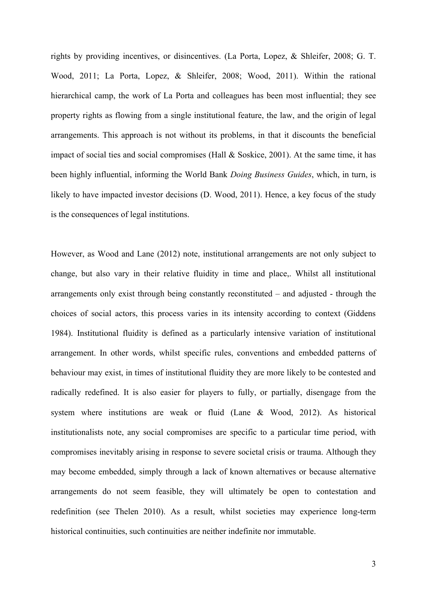rights by providing incentives, or disincentives. (La Porta, Lopez, & Shleifer, 2008; G. T. Wood, 2011; La Porta, Lopez, & Shleifer, 2008; Wood, 2011). Within the rational hierarchical camp, the work of La Porta and colleagues has been most influential; they see property rights as flowing from a single institutional feature, the law, and the origin of legal arrangements. This approach is not without its problems, in that it discounts the beneficial impact of social ties and social compromises (Hall & Soskice, 2001). At the same time, it has been highly influential, informing the World Bank *Doing Business Guides*, which, in turn, is likely to have impacted investor decisions (D. Wood, 2011). Hence, a key focus of the study is the consequences of legal institutions.

However, as Wood and Lane (2012) note, institutional arrangements are not only subject to change, but also vary in their relative fluidity in time and place,. Whilst all institutional arrangements only exist through being constantly reconstituted – and adjusted - through the choices of social actors, this process varies in its intensity according to context (Giddens 1984). Institutional fluidity is defined as a particularly intensive variation of institutional arrangement. In other words, whilst specific rules, conventions and embedded patterns of behaviour may exist, in times of institutional fluidity they are more likely to be contested and radically redefined. It is also easier for players to fully, or partially, disengage from the system where institutions are weak or fluid (Lane & Wood, 2012). As historical institutionalists note, any social compromises are specific to a particular time period, with compromises inevitably arising in response to severe societal crisis or trauma. Although they may become embedded, simply through a lack of known alternatives or because alternative arrangements do not seem feasible, they will ultimately be open to contestation and redefinition (see Thelen 2010). As a result, whilst societies may experience long-term historical continuities, such continuities are neither indefinite nor immutable.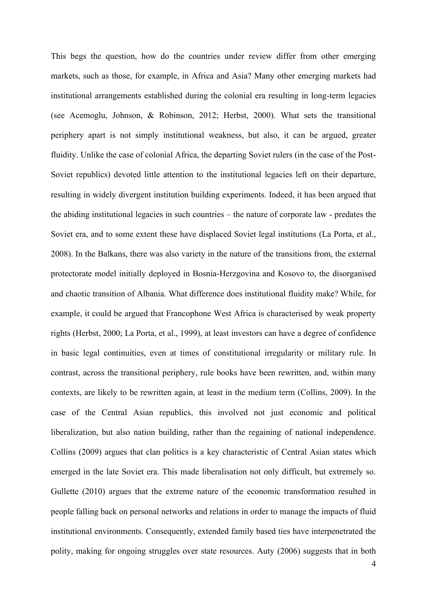This begs the question, how do the countries under review differ from other emerging markets, such as those, for example, in Africa and Asia? Many other emerging markets had institutional arrangements established during the colonial era resulting in long-term legacies (see Acemoglu, Johnson, & Robinson, 2012; Herbst, 2000). What sets the transitional periphery apart is not simply institutional weakness, but also, it can be argued, greater fluidity. Unlike the case of colonial Africa, the departing Soviet rulers (in the case of the Post-Soviet republics) devoted little attention to the institutional legacies left on their departure, resulting in widely divergent institution building experiments. Indeed, it has been argued that the abiding institutional legacies in such countries – the nature of corporate law - predates the Soviet era, and to some extent these have displaced Soviet legal institutions (La Porta, et al., 2008). In the Balkans, there was also variety in the nature of the transitions from, the external protectorate model initially deployed in Bosnia-Herzgovina and Kosovo to, the disorganised and chaotic transition of Albania. What difference does institutional fluidity make? While, for example, it could be argued that Francophone West Africa is characterised by weak property rights (Herbst, 2000; La Porta, et al., 1999), at least investors can have a degree of confidence in basic legal continuities, even at times of constitutional irregularity or military rule. In contrast, across the transitional periphery, rule books have been rewritten, and, within many contexts, are likely to be rewritten again, at least in the medium term (Collins, 2009). In the case of the Central Asian republics, this involved not just economic and political liberalization, but also nation building, rather than the regaining of national independence. Collins (2009) argues that clan politics is a key characteristic of Central Asian states which emerged in the late Soviet era. This made liberalisation not only difficult, but extremely so. Gullette (2010) argues that the extreme nature of the economic transformation resulted in people falling back on personal networks and relations in order to manage the impacts of fluid institutional environments. Consequently, extended family based ties have interpenetrated the polity, making for ongoing struggles over state resources. Auty (2006) suggests that in both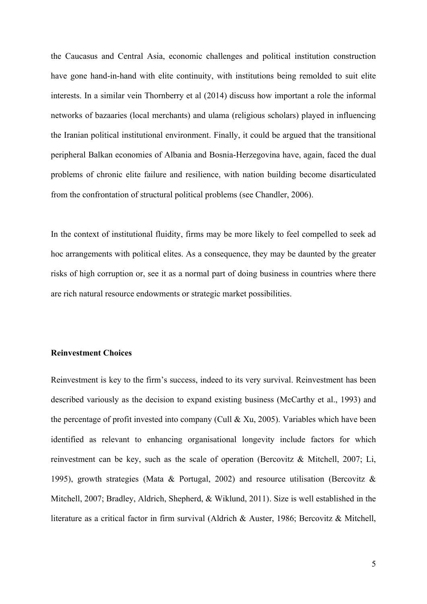the Caucasus and Central Asia, economic challenges and political institution construction have gone hand-in-hand with elite continuity, with institutions being remolded to suit elite interests. In a similar vein Thornberry et al (2014) discuss how important a role the informal networks of bazaaries (local merchants) and ulama (religious scholars) played in influencing the Iranian political institutional environment. Finally, it could be argued that the transitional peripheral Balkan economies of Albania and Bosnia-Herzegovina have, again, faced the dual problems of chronic elite failure and resilience, with nation building become disarticulated from the confrontation of structural political problems (see Chandler, 2006).

In the context of institutional fluidity, firms may be more likely to feel compelled to seek ad hoc arrangements with political elites. As a consequence, they may be daunted by the greater risks of high corruption or, see it as a normal part of doing business in countries where there are rich natural resource endowments or strategic market possibilities.

### **Reinvestment Choices**

Reinvestment is key to the firm's success, indeed to its very survival. Reinvestment has been described variously as the decision to expand existing business (McCarthy et al., 1993) and the percentage of profit invested into company (Cull & Xu, 2005). Variables which have been identified as relevant to enhancing organisational longevity include factors for which reinvestment can be key, such as the scale of operation (Bercovitz & Mitchell, 2007; Li, 1995), growth strategies (Mata & Portugal, 2002) and resource utilisation (Bercovitz  $\&$ Mitchell, 2007; Bradley, Aldrich, Shepherd, & Wiklund, 2011). Size is well established in the literature as a critical factor in firm survival (Aldrich & Auster, 1986; Bercovitz & Mitchell,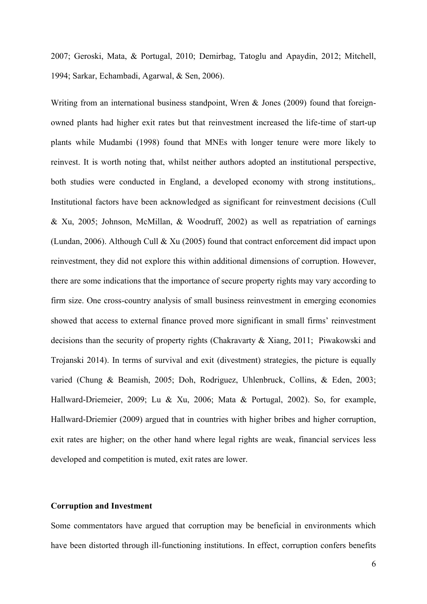2007; Geroski, Mata, & Portugal, 2010; Demirbag, Tatoglu and Apaydin, 2012; Mitchell, 1994; Sarkar, Echambadi, Agarwal, & Sen, 2006).

Writing from an international business standpoint, Wren & Jones (2009) found that foreignowned plants had higher exit rates but that reinvestment increased the life-time of start-up plants while Mudambi (1998) found that MNEs with longer tenure were more likely to reinvest. It is worth noting that, whilst neither authors adopted an institutional perspective, both studies were conducted in England, a developed economy with strong institutions,. Institutional factors have been acknowledged as significant for reinvestment decisions (Cull & Xu, 2005; Johnson, McMillan, & Woodruff, 2002) as well as repatriation of earnings (Lundan, 2006). Although Cull & Xu (2005) found that contract enforcement did impact upon reinvestment, they did not explore this within additional dimensions of corruption. However, there are some indications that the importance of secure property rights may vary according to firm size. One cross-country analysis of small business reinvestment in emerging economies showed that access to external finance proved more significant in small firms' reinvestment decisions than the security of property rights (Chakravarty & Xiang, 2011; Piwakowski and Trojanski 2014). In terms of survival and exit (divestment) strategies, the picture is equally varied (Chung & Beamish, 2005; Doh, Rodriguez, Uhlenbruck, Collins, & Eden, 2003; Hallward-Driemeier, 2009; Lu & Xu, 2006; Mata & Portugal, 2002). So, for example, Hallward-Driemier (2009) argued that in countries with higher bribes and higher corruption, exit rates are higher; on the other hand where legal rights are weak, financial services less developed and competition is muted, exit rates are lower.

# **Corruption and Investment**

Some commentators have argued that corruption may be beneficial in environments which have been distorted through ill-functioning institutions. In effect, corruption confers benefits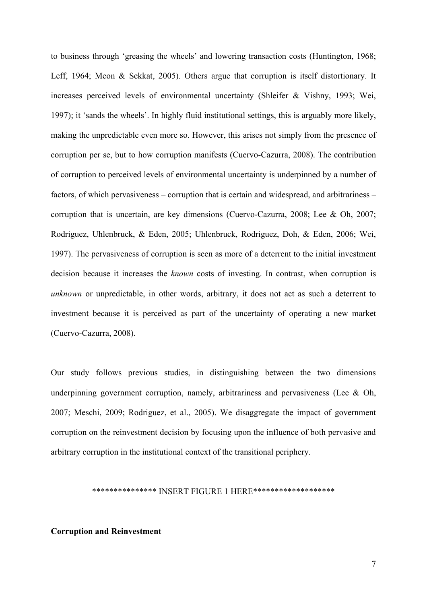to business through 'greasing the wheels' and lowering transaction costs (Huntington, 1968; Leff, 1964; Meon & Sekkat, 2005). Others argue that corruption is itself distortionary. It increases perceived levels of environmental uncertainty (Shleifer & Vishny, 1993; Wei, 1997); it 'sands the wheels'. In highly fluid institutional settings, this is arguably more likely, making the unpredictable even more so. However, this arises not simply from the presence of corruption per se, but to how corruption manifests (Cuervo-Cazurra, 2008). The contribution of corruption to perceived levels of environmental uncertainty is underpinned by a number of factors, of which pervasiveness – corruption that is certain and widespread, and arbitrariness – corruption that is uncertain, are key dimensions (Cuervo-Cazurra, 2008; Lee & Oh, 2007; Rodriguez, Uhlenbruck, & Eden, 2005; Uhlenbruck, Rodriguez, Doh, & Eden, 2006; Wei, 1997). The pervasiveness of corruption is seen as more of a deterrent to the initial investment decision because it increases the *known* costs of investing. In contrast, when corruption is *unknown* or unpredictable, in other words, arbitrary, it does not act as such a deterrent to investment because it is perceived as part of the uncertainty of operating a new market (Cuervo-Cazurra, 2008).

Our study follows previous studies, in distinguishing between the two dimensions underpinning government corruption, namely, arbitrariness and pervasiveness (Lee  $\&$  Oh, 2007; Meschi, 2009; Rodriguez, et al., 2005). We disaggregate the impact of government corruption on the reinvestment decision by focusing upon the influence of both pervasive and arbitrary corruption in the institutional context of the transitional periphery.

#### \*\*\*\*\*\*\*\*\*\*\*\*\*\*\* INSERT FIGURE 1 HERE\*\*\*\*\*\*\*\*\*\*\*\*\*\*\*\*\*\*\*

### **Corruption and Reinvestment**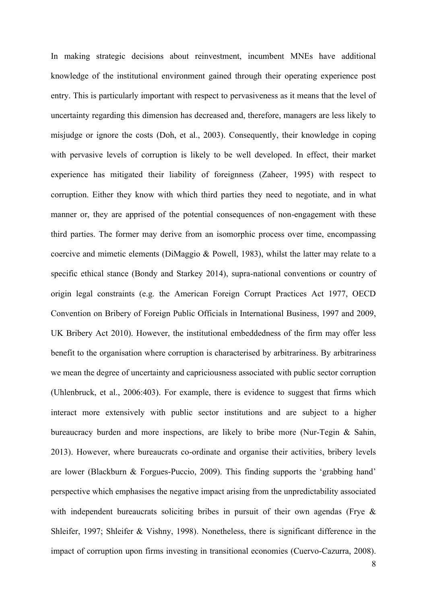In making strategic decisions about reinvestment, incumbent MNEs have additional knowledge of the institutional environment gained through their operating experience post entry. This is particularly important with respect to pervasiveness as it means that the level of uncertainty regarding this dimension has decreased and, therefore, managers are less likely to misjudge or ignore the costs (Doh, et al., 2003). Consequently, their knowledge in coping with pervasive levels of corruption is likely to be well developed. In effect, their market experience has mitigated their liability of foreignness (Zaheer, 1995) with respect to corruption. Either they know with which third parties they need to negotiate, and in what manner or, they are apprised of the potential consequences of non-engagement with these third parties. The former may derive from an isomorphic process over time, encompassing coercive and mimetic elements (DiMaggio & Powell, 1983), whilst the latter may relate to a specific ethical stance (Bondy and Starkey 2014), supra-national conventions or country of origin legal constraints (e.g. the American Foreign Corrupt Practices Act 1977, OECD Convention on Bribery of Foreign Public Officials in International Business, 1997 and 2009, UK Bribery Act 2010). However, the institutional embeddedness of the firm may offer less benefit to the organisation where corruption is characterised by arbitrariness. By arbitrariness we mean the degree of uncertainty and capriciousness associated with public sector corruption (Uhlenbruck, et al., 2006:403). For example, there is evidence to suggest that firms which interact more extensively with public sector institutions and are subject to a higher bureaucracy burden and more inspections, are likely to bribe more (Nur-Tegin & Sahin, 2013). However, where bureaucrats co-ordinate and organise their activities, bribery levels are lower (Blackburn & Forgues-Puccio, 2009). This finding supports the 'grabbing hand' perspective which emphasises the negative impact arising from the unpredictability associated with independent bureaucrats soliciting bribes in pursuit of their own agendas (Frye & Shleifer, 1997; Shleifer & Vishny, 1998). Nonetheless, there is significant difference in the impact of corruption upon firms investing in transitional economies (Cuervo-Cazurra, 2008).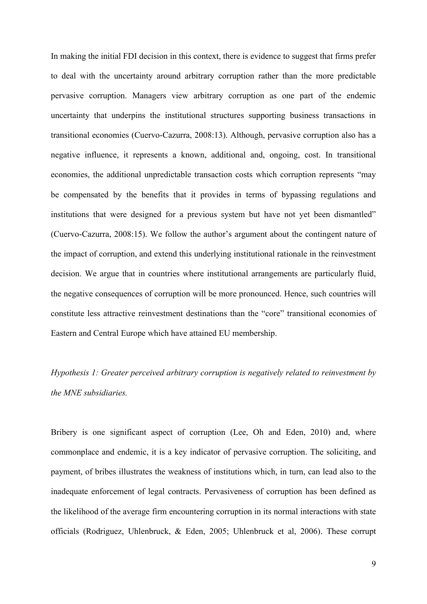In making the initial FDI decision in this context, there is evidence to suggest that firms prefer to deal with the uncertainty around arbitrary corruption rather than the more predictable pervasive corruption. Managers view arbitrary corruption as one part of the endemic uncertainty that underpins the institutional structures supporting business transactions in transitional economies (Cuervo-Cazurra, 2008:13). Although, pervasive corruption also has a negative influence, it represents a known, additional and, ongoing, cost. In transitional economies, the additional unpredictable transaction costs which corruption represents "may be compensated by the benefits that it provides in terms of bypassing regulations and institutions that were designed for a previous system but have not yet been dismantled" (Cuervo-Cazurra, 2008:15). We follow the author's argument about the contingent nature of the impact of corruption, and extend this underlying institutional rationale in the reinvestment decision. We argue that in countries where institutional arrangements are particularly fluid, the negative consequences of corruption will be more pronounced. Hence, such countries will constitute less attractive reinvestment destinations than the "core" transitional economies of Eastern and Central Europe which have attained EU membership.

*Hypothesis 1: Greater perceived arbitrary corruption is negatively related to reinvestment by the MNE subsidiaries.* 

Bribery is one significant aspect of corruption (Lee, Oh and Eden, 2010) and, where commonplace and endemic, it is a key indicator of pervasive corruption. The soliciting, and payment, of bribes illustrates the weakness of institutions which, in turn, can lead also to the inadequate enforcement of legal contracts. Pervasiveness of corruption has been defined as the likelihood of the average firm encountering corruption in its normal interactions with state officials (Rodriguez, Uhlenbruck, & Eden, 2005; Uhlenbruck et al, 2006). These corrupt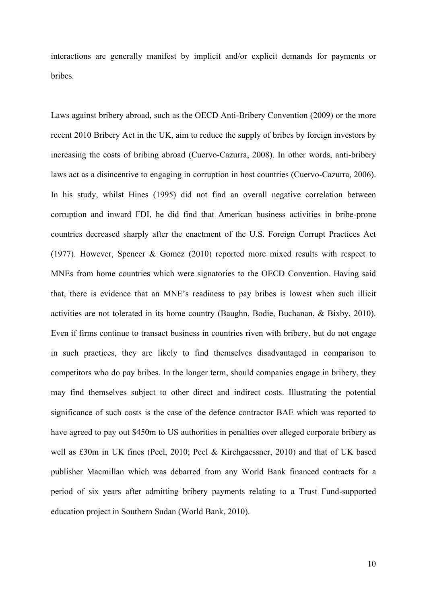interactions are generally manifest by implicit and/or explicit demands for payments or bribes.

Laws against bribery abroad, such as the OECD Anti-Bribery Convention (2009) or the more recent 2010 Bribery Act in the UK, aim to reduce the supply of bribes by foreign investors by increasing the costs of bribing abroad (Cuervo-Cazurra, 2008). In other words, anti-bribery laws act as a disincentive to engaging in corruption in host countries (Cuervo-Cazurra, 2006). In his study, whilst Hines (1995) did not find an overall negative correlation between corruption and inward FDI, he did find that American business activities in bribe-prone countries decreased sharply after the enactment of the U.S. Foreign Corrupt Practices Act (1977). However, Spencer & Gomez (2010) reported more mixed results with respect to MNEs from home countries which were signatories to the OECD Convention. Having said that, there is evidence that an MNE's readiness to pay bribes is lowest when such illicit activities are not tolerated in its home country (Baughn, Bodie, Buchanan, & Bixby, 2010). Even if firms continue to transact business in countries riven with bribery, but do not engage in such practices, they are likely to find themselves disadvantaged in comparison to competitors who do pay bribes. In the longer term, should companies engage in bribery, they may find themselves subject to other direct and indirect costs. Illustrating the potential significance of such costs is the case of the defence contractor BAE which was reported to have agreed to pay out \$450m to US authorities in penalties over alleged corporate bribery as well as £30m in UK fines (Peel, 2010; Peel & Kirchgaessner, 2010) and that of UK based publisher Macmillan which was debarred from any World Bank financed contracts for a period of six years after admitting bribery payments relating to a Trust Fund-supported education project in Southern Sudan (World Bank, 2010).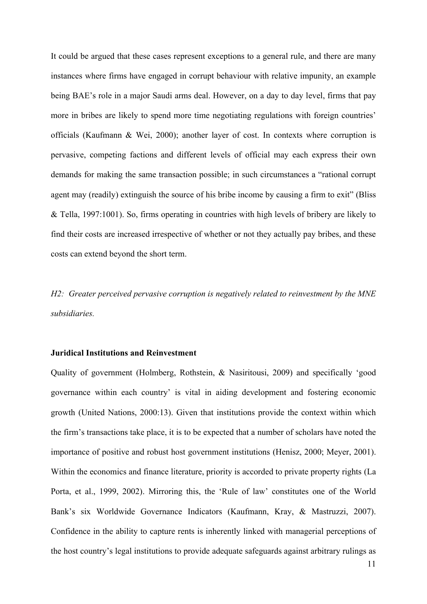It could be argued that these cases represent exceptions to a general rule, and there are many instances where firms have engaged in corrupt behaviour with relative impunity, an example being BAE's role in a major Saudi arms deal. However, on a day to day level, firms that pay more in bribes are likely to spend more time negotiating regulations with foreign countries' officials (Kaufmann & Wei, 2000); another layer of cost. In contexts where corruption is pervasive, competing factions and different levels of official may each express their own demands for making the same transaction possible; in such circumstances a "rational corrupt agent may (readily) extinguish the source of his bribe income by causing a firm to exit" (Bliss & Tella, 1997:1001). So, firms operating in countries with high levels of bribery are likely to find their costs are increased irrespective of whether or not they actually pay bribes, and these costs can extend beyond the short term.

*H2: Greater perceived pervasive corruption is negatively related to reinvestment by the MNE subsidiaries.* 

## **Juridical Institutions and Reinvestment**

Quality of government (Holmberg, Rothstein, & Nasiritousi, 2009) and specifically 'good governance within each country' is vital in aiding development and fostering economic growth (United Nations, 2000:13). Given that institutions provide the context within which the firm's transactions take place, it is to be expected that a number of scholars have noted the importance of positive and robust host government institutions (Henisz, 2000; Meyer, 2001). Within the economics and finance literature, priority is accorded to private property rights (La Porta, et al., 1999, 2002). Mirroring this, the 'Rule of law' constitutes one of the World Bank's six Worldwide Governance Indicators (Kaufmann, Kray, & Mastruzzi, 2007). Confidence in the ability to capture rents is inherently linked with managerial perceptions of the host country's legal institutions to provide adequate safeguards against arbitrary rulings as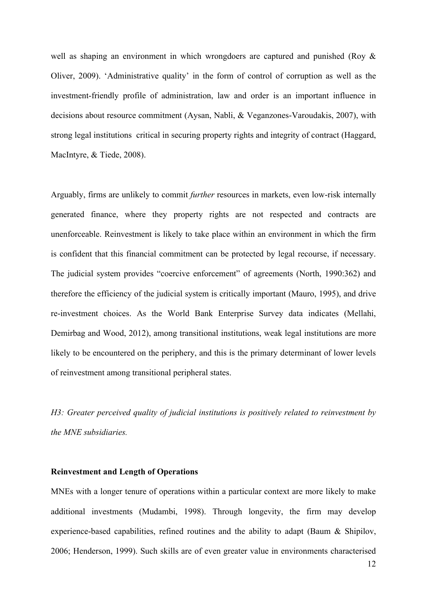well as shaping an environment in which wrongdoers are captured and punished (Roy & Oliver, 2009). 'Administrative quality' in the form of control of corruption as well as the investment-friendly profile of administration, law and order is an important influence in decisions about resource commitment (Aysan, Nabli, & Veganzones-Varoudakis, 2007), with strong legal institutions critical in securing property rights and integrity of contract (Haggard, MacIntyre, & Tiede, 2008).

Arguably, firms are unlikely to commit *further* resources in markets, even low-risk internally generated finance, where they property rights are not respected and contracts are unenforceable. Reinvestment is likely to take place within an environment in which the firm is confident that this financial commitment can be protected by legal recourse, if necessary. The judicial system provides "coercive enforcement" of agreements (North, 1990:362) and therefore the efficiency of the judicial system is critically important (Mauro, 1995), and drive re-investment choices. As the World Bank Enterprise Survey data indicates (Mellahi, Demirbag and Wood, 2012), among transitional institutions, weak legal institutions are more likely to be encountered on the periphery, and this is the primary determinant of lower levels of reinvestment among transitional peripheral states.

*H3: Greater perceived quality of judicial institutions is positively related to reinvestment by the MNE subsidiaries.* 

## **Reinvestment and Length of Operations**

MNEs with a longer tenure of operations within a particular context are more likely to make additional investments (Mudambi, 1998). Through longevity, the firm may develop experience-based capabilities, refined routines and the ability to adapt (Baum & Shipilov, 2006; Henderson, 1999). Such skills are of even greater value in environments characterised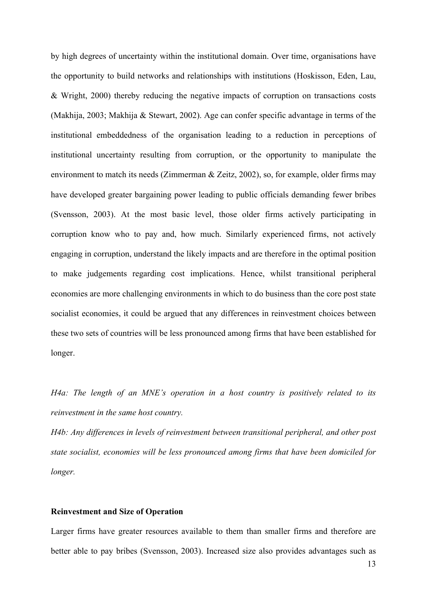by high degrees of uncertainty within the institutional domain. Over time, organisations have the opportunity to build networks and relationships with institutions (Hoskisson, Eden, Lau, & Wright, 2000) thereby reducing the negative impacts of corruption on transactions costs (Makhija, 2003; Makhija & Stewart, 2002). Age can confer specific advantage in terms of the institutional embeddedness of the organisation leading to a reduction in perceptions of institutional uncertainty resulting from corruption, or the opportunity to manipulate the environment to match its needs (Zimmerman & Zeitz, 2002), so, for example, older firms may have developed greater bargaining power leading to public officials demanding fewer bribes (Svensson, 2003). At the most basic level, those older firms actively participating in corruption know who to pay and, how much. Similarly experienced firms, not actively engaging in corruption, understand the likely impacts and are therefore in the optimal position to make judgements regarding cost implications. Hence, whilst transitional peripheral economies are more challenging environments in which to do business than the core post state socialist economies, it could be argued that any differences in reinvestment choices between these two sets of countries will be less pronounced among firms that have been established for longer.

*H4a: The length of an MNE's operation in a host country is positively related to its reinvestment in the same host country.*

*H4b: Any differences in levels of reinvestment between transitional peripheral, and other post state socialist, economies will be less pronounced among firms that have been domiciled for longer.*

## **Reinvestment and Size of Operation**

Larger firms have greater resources available to them than smaller firms and therefore are better able to pay bribes (Svensson, 2003). Increased size also provides advantages such as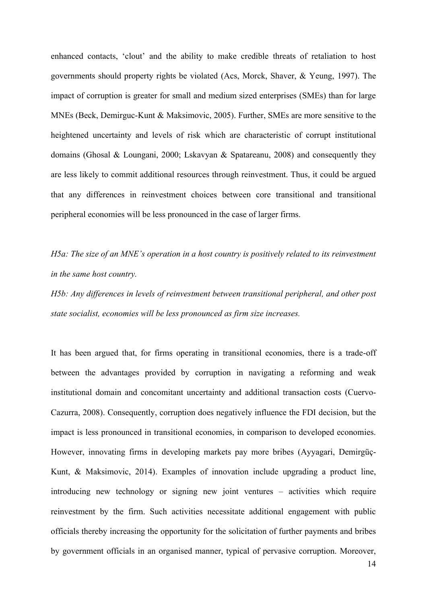enhanced contacts, 'clout' and the ability to make credible threats of retaliation to host governments should property rights be violated (Acs, Morck, Shaver, & Yeung, 1997). The impact of corruption is greater for small and medium sized enterprises (SMEs) than for large MNEs (Beck, Demirguc-Kunt & Maksimovic, 2005). Further, SMEs are more sensitive to the heightened uncertainty and levels of risk which are characteristic of corrupt institutional domains (Ghosal & Loungani, 2000; Lskavyan & Spatareanu, 2008) and consequently they are less likely to commit additional resources through reinvestment. Thus, it could be argued that any differences in reinvestment choices between core transitional and transitional peripheral economies will be less pronounced in the case of larger firms.

*H5a: The size of an MNE's operation in a host country is positively related to its reinvestment in the same host country.*

*H5b: Any differences in levels of reinvestment between transitional peripheral, and other post state socialist, economies will be less pronounced as firm size increases.*

It has been argued that, for firms operating in transitional economies, there is a trade-off between the advantages provided by corruption in navigating a reforming and weak institutional domain and concomitant uncertainty and additional transaction costs (Cuervo-Cazurra, 2008). Consequently, corruption does negatively influence the FDI decision, but the impact is less pronounced in transitional economies, in comparison to developed economies. However, innovating firms in developing markets pay more bribes (Ayyagari, Demirgüç-Kunt, & Maksimovic, 2014). Examples of innovation include upgrading a product line, introducing new technology or signing new joint ventures – activities which require reinvestment by the firm. Such activities necessitate additional engagement with public officials thereby increasing the opportunity for the solicitation of further payments and bribes by government officials in an organised manner, typical of pervasive corruption. Moreover,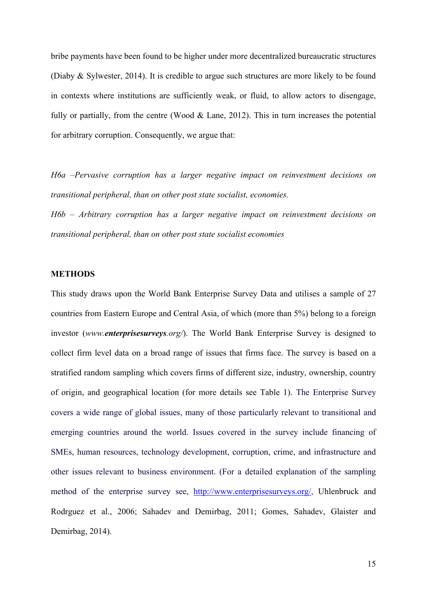bribe payments have been found to be higher under more decentralized bureaucratic structures (Diaby & Sylwester, 2014). It is credible to argue such structures are more likely to be found in contexts where institutions are sufficiently weak, or fluid, to allow actors to disengage, fully or partially, from the centre (Wood  $\&$  Lane, 2012). This in turn increases the potential for arbitrary corruption. Consequently, we argue that:

*H6a –Pervasive corruption has a larger negative impact on reinvestment decisions on transitional peripheral, than on other post state socialist, economies.*

*H6b – Arbitrary corruption has a larger negative impact on reinvestment decisions on transitional peripheral, than on other post state socialist economies*

#### **METHODS**

This study draws upon the World Bank Enterprise Survey Data and utilises a sample of 27 countries from Eastern Europe and Central Asia, of which (more than 5%) belong to a foreign investor (*www.enterprisesurveys.org/*). The World Bank Enterprise Survey is designed to collect firm level data on a broad range of issues that firms face. The survey is based on a stratified random sampling which covers firms of different size, industry, ownership, country of origin, and geographical location (for more details see Table 1). The Enterprise Survey covers a wide range of global issues, many of those particularly relevant to transitional and emerging countries around the world. Issues covered in the survey include financing of SMEs, human resources, technology development, corruption, crime, and infrastructure and other issues relevant to business environment. (For a detailed explanation of the sampling method of the enterprise survey see, [http://www.enterprisesurveys.org/,](http://www.enterprisesurveys.org/) Uhlenbruck and Rodrguez et al., 2006; Sahadev and Demirbag, 2011; Gomes, Sahadev, Glaister and Demirbag, 2014).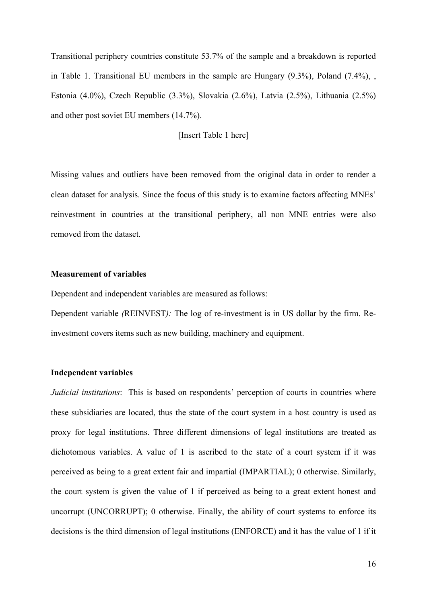Transitional periphery countries constitute 53.7% of the sample and a breakdown is reported in Table 1. Transitional EU members in the sample are Hungary (9.3%), Poland (7.4%), , Estonia (4.0%), Czech Republic (3.3%), Slovakia (2.6%), Latvia (2.5%), Lithuania (2.5%) and other post soviet EU members (14.7%).

## [Insert Table 1 here]

Missing values and outliers have been removed from the original data in order to render a clean dataset for analysis. Since the focus of this study is to examine factors affecting MNEs' reinvestment in countries at the transitional periphery, all non MNE entries were also removed from the dataset.

#### **Measurement of variables**

Dependent and independent variables are measured as follows:

Dependent variable *(*REINVEST*):* The log of re-investment is in US dollar by the firm. Reinvestment covers items such as new building, machinery and equipment.

#### **Independent variables**

*Judicial institutions*: This is based on respondents' perception of courts in countries where these subsidiaries are located, thus the state of the court system in a host country is used as proxy for legal institutions. Three different dimensions of legal institutions are treated as dichotomous variables. A value of 1 is ascribed to the state of a court system if it was perceived as being to a great extent fair and impartial (IMPARTIAL); 0 otherwise. Similarly, the court system is given the value of 1 if perceived as being to a great extent honest and uncorrupt (UNCORRUPT); 0 otherwise. Finally, the ability of court systems to enforce its decisions is the third dimension of legal institutions (ENFORCE) and it has the value of 1 if it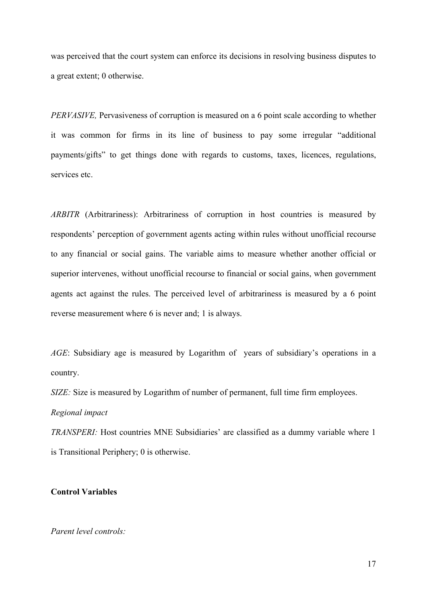was perceived that the court system can enforce its decisions in resolving business disputes to a great extent; 0 otherwise.

*PERVASIVE,* Pervasiveness of corruption is measured on a 6 point scale according to whether it was common for firms in its line of business to pay some irregular "additional payments/gifts" to get things done with regards to customs, taxes, licences, regulations, services etc.

*ARBITR* (Arbitrariness): Arbitrariness of corruption in host countries is measured by respondents' perception of government agents acting within rules without unofficial recourse to any financial or social gains. The variable aims to measure whether another official or superior intervenes, without unofficial recourse to financial or social gains, when government agents act against the rules. The perceived level of arbitrariness is measured by a 6 point reverse measurement where 6 is never and; 1 is always.

*AGE*: Subsidiary age is measured by Logarithm of years of subsidiary's operations in a country.

*SIZE:* Size is measured by Logarithm of number of permanent, full time firm employees.

# *Regional impact*

*TRANSPERI:* Host countries MNE Subsidiaries' are classified as a dummy variable where 1 is Transitional Periphery; 0 is otherwise.

## **Control Variables**

## *Parent level controls:*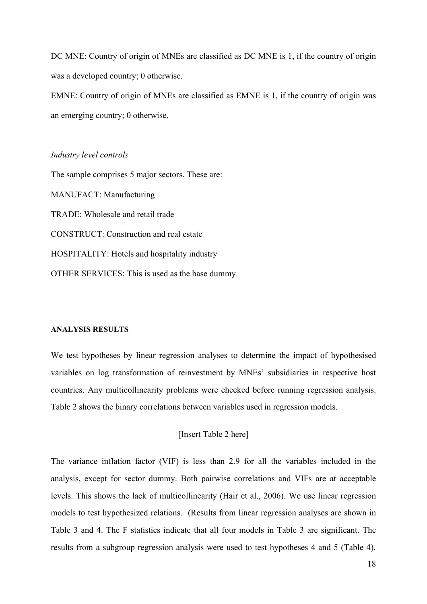DC MNE: Country of origin of MNEs are classified as DC MNE is 1, if the country of origin was a developed country; 0 otherwise.

EMNE: Country of origin of MNEs are classified as EMNE is 1, if the country of origin was an emerging country; 0 otherwise.

#### *Industry level controls*

The sample comprises 5 major sectors. These are: MANUFACT: Manufacturing TRADE: Wholesale and retail trade CONSTRUCT: Construction and real estate HOSPITALITY: Hotels and hospitality industry OTHER SERVICES: This is used as the base dummy.

## **ANALYSIS RESULTS**

We test hypotheses by linear regression analyses to determine the impact of hypothesised variables on log transformation of reinvestment by MNEs' subsidiaries in respective host countries. Any multicollinearity problems were checked before running regression analysis. Table 2 shows the binary correlations between variables used in regression models.

[Insert Table 2 here]

The variance inflation factor (VIF) is less than 2.9 for all the variables included in the analysis, except for sector dummy. Both pairwise correlations and VIFs are at acceptable levels. This shows the lack of multicollinearity (Hair et al., 2006). We use linear regression models to test hypothesized relations. (Results from linear regression analyses are shown in Table 3 and 4. The F statistics indicate that all four models in Table 3 are significant. The results from a subgroup regression analysis were used to test hypotheses 4 and 5 (Table 4).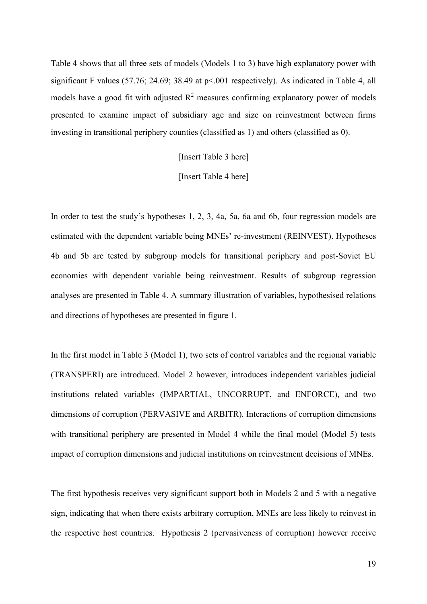Table 4 shows that all three sets of models (Models 1 to 3) have high explanatory power with significant F values (57.76; 24.69; 38.49 at p<.001 respectively). As indicated in Table 4, all models have a good fit with adjusted  $R^2$  measures confirming explanatory power of models presented to examine impact of subsidiary age and size on reinvestment between firms investing in transitional periphery counties (classified as 1) and others (classified as 0).

[Insert Table 3 here]

[Insert Table 4 here]

In order to test the study's hypotheses 1, 2, 3, 4a, 5a, 6a and 6b, four regression models are estimated with the dependent variable being MNEs' re-investment (REINVEST). Hypotheses 4b and 5b are tested by subgroup models for transitional periphery and post-Soviet EU economies with dependent variable being reinvestment. Results of subgroup regression analyses are presented in Table 4. A summary illustration of variables, hypothesised relations and directions of hypotheses are presented in figure 1.

In the first model in Table 3 (Model 1), two sets of control variables and the regional variable (TRANSPERI) are introduced. Model 2 however, introduces independent variables judicial institutions related variables (IMPARTIAL, UNCORRUPT, and ENFORCE), and two dimensions of corruption (PERVASIVE and ARBITR). Interactions of corruption dimensions with transitional periphery are presented in Model 4 while the final model (Model 5) tests impact of corruption dimensions and judicial institutions on reinvestment decisions of MNEs.

The first hypothesis receives very significant support both in Models 2 and 5 with a negative sign, indicating that when there exists arbitrary corruption, MNEs are less likely to reinvest in the respective host countries. Hypothesis 2 (pervasiveness of corruption) however receive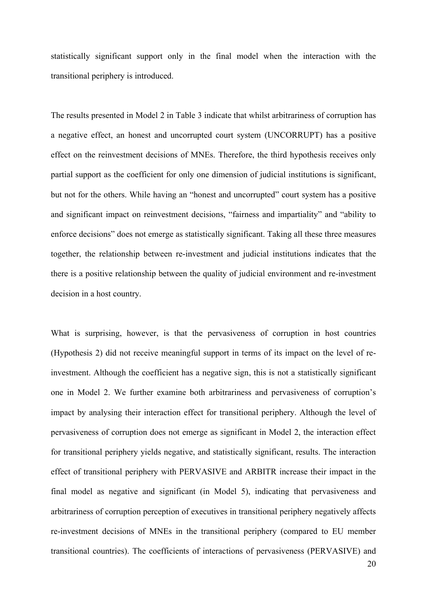statistically significant support only in the final model when the interaction with the transitional periphery is introduced.

The results presented in Model 2 in Table 3 indicate that whilst arbitrariness of corruption has a negative effect, an honest and uncorrupted court system (UNCORRUPT) has a positive effect on the reinvestment decisions of MNEs. Therefore, the third hypothesis receives only partial support as the coefficient for only one dimension of judicial institutions is significant, but not for the others. While having an "honest and uncorrupted" court system has a positive and significant impact on reinvestment decisions, "fairness and impartiality" and "ability to enforce decisions" does not emerge as statistically significant. Taking all these three measures together, the relationship between re-investment and judicial institutions indicates that the there is a positive relationship between the quality of judicial environment and re-investment decision in a host country.

What is surprising, however, is that the pervasiveness of corruption in host countries (Hypothesis 2) did not receive meaningful support in terms of its impact on the level of reinvestment. Although the coefficient has a negative sign, this is not a statistically significant one in Model 2. We further examine both arbitrariness and pervasiveness of corruption's impact by analysing their interaction effect for transitional periphery. Although the level of pervasiveness of corruption does not emerge as significant in Model 2, the interaction effect for transitional periphery yields negative, and statistically significant, results. The interaction effect of transitional periphery with PERVASIVE and ARBITR increase their impact in the final model as negative and significant (in Model 5), indicating that pervasiveness and arbitrariness of corruption perception of executives in transitional periphery negatively affects re-investment decisions of MNEs in the transitional periphery (compared to EU member transitional countries). The coefficients of interactions of pervasiveness (PERVASIVE) and

20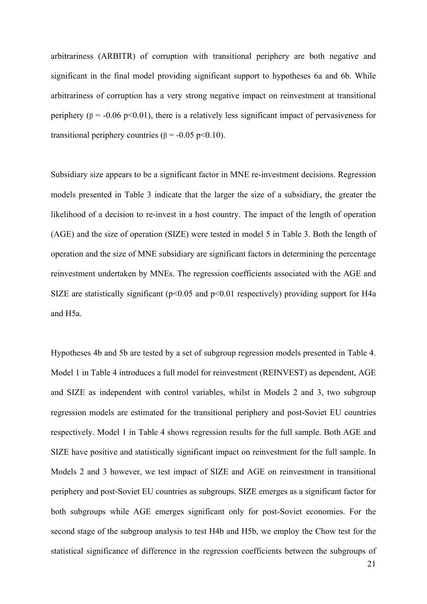arbitrariness (ARBITR) of corruption with transitional periphery are both negative and significant in the final model providing significant support to hypotheses 6a and 6b. While arbitrariness of corruption has a very strong negative impact on reinvestment at transitional periphery ( $\beta$  = -0.06 p<0.01), there is a relatively less significant impact of pervasiveness for transitional periphery countries ( $β = -0.05 p < 0.10$ ).

Subsidiary size appears to be a significant factor in MNE re-investment decisions. Regression models presented in Table 3 indicate that the larger the size of a subsidiary, the greater the likelihood of a decision to re-invest in a host country. The impact of the length of operation (AGE) and the size of operation (SIZE) were tested in model 5 in Table 3. Both the length of operation and the size of MNE subsidiary are significant factors in determining the percentage reinvestment undertaken by MNEs. The regression coefficients associated with the AGE and SIZE are statistically significant ( $p<0.05$  and  $p<0.01$  respectively) providing support for H4a and H5a.

Hypotheses 4b and 5b are tested by a set of subgroup regression models presented in Table 4. Model 1 in Table 4 introduces a full model for reinvestment (REINVEST) as dependent, AGE and SIZE as independent with control variables, whilst in Models 2 and 3, two subgroup regression models are estimated for the transitional periphery and post-Soviet EU countries respectively. Model 1 in Table 4 shows regression results for the full sample. Both AGE and SIZE have positive and statistically significant impact on reinvestment for the full sample. In Models 2 and 3 however, we test impact of SIZE and AGE on reinvestment in transitional periphery and post-Soviet EU countries as subgroups. SIZE emerges as a significant factor for both subgroups while AGE emerges significant only for post-Soviet economies. For the second stage of the subgroup analysis to test H4b and H5b, we employ the Chow test for the statistical significance of difference in the regression coefficients between the subgroups of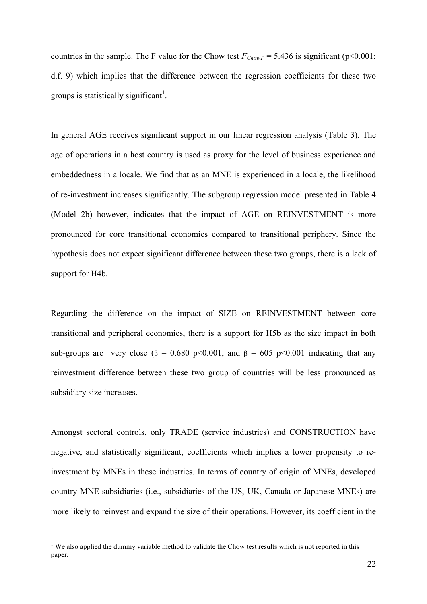countries in the sample. The F value for the Chow test  $F_{ChowT} = 5.436$  is significant (p<0.001; d.f. 9) which implies that the difference between the regression coefficients for these two groups is statistically significant<sup>1</sup>.

In general AGE receives significant support in our linear regression analysis (Table 3). The age of operations in a host country is used as proxy for the level of business experience and embeddedness in a locale. We find that as an MNE is experienced in a locale, the likelihood of re-investment increases significantly. The subgroup regression model presented in Table 4 (Model 2b) however, indicates that the impact of AGE on REINVESTMENT is more pronounced for core transitional economies compared to transitional periphery. Since the hypothesis does not expect significant difference between these two groups, there is a lack of support for H4b.

Regarding the difference on the impact of SIZE on REINVESTMENT between core transitional and peripheral economies, there is a support for H5b as the size impact in both sub-groups are very close ( $\beta$  = 0.680 p<0.001, and  $\beta$  = 605 p<0.001 indicating that any reinvestment difference between these two group of countries will be less pronounced as subsidiary size increases.

Amongst sectoral controls, only TRADE (service industries) and CONSTRUCTION have negative, and statistically significant, coefficients which implies a lower propensity to reinvestment by MNEs in these industries. In terms of country of origin of MNEs, developed country MNE subsidiaries (i.e., subsidiaries of the US, UK, Canada or Japanese MNEs) are more likely to reinvest and expand the size of their operations. However, its coefficient in the

1

 $1$  We also applied the dummy variable method to validate the Chow test results which is not reported in this paper.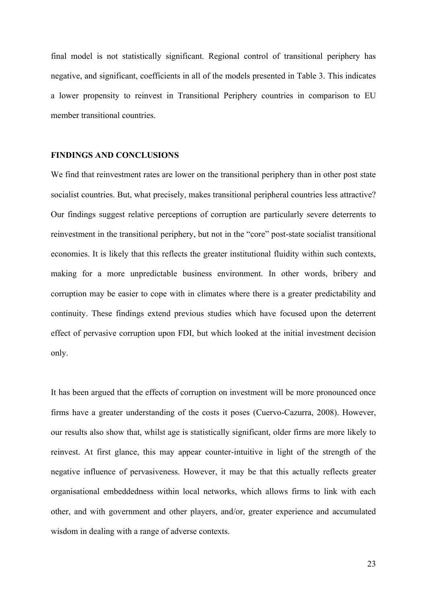final model is not statistically significant. Regional control of transitional periphery has negative, and significant, coefficients in all of the models presented in Table 3. This indicates a lower propensity to reinvest in Transitional Periphery countries in comparison to EU member transitional countries.

## **FINDINGS AND CONCLUSIONS**

We find that reinvestment rates are lower on the transitional periphery than in other post state socialist countries. But, what precisely, makes transitional peripheral countries less attractive? Our findings suggest relative perceptions of corruption are particularly severe deterrents to reinvestment in the transitional periphery, but not in the "core" post-state socialist transitional economies. It is likely that this reflects the greater institutional fluidity within such contexts, making for a more unpredictable business environment. In other words, bribery and corruption may be easier to cope with in climates where there is a greater predictability and continuity. These findings extend previous studies which have focused upon the deterrent effect of pervasive corruption upon FDI, but which looked at the initial investment decision only.

It has been argued that the effects of corruption on investment will be more pronounced once firms have a greater understanding of the costs it poses (Cuervo-Cazurra, 2008). However, our results also show that, whilst age is statistically significant, older firms are more likely to reinvest. At first glance, this may appear counter-intuitive in light of the strength of the negative influence of pervasiveness. However, it may be that this actually reflects greater organisational embeddedness within local networks, which allows firms to link with each other, and with government and other players, and/or, greater experience and accumulated wisdom in dealing with a range of adverse contexts.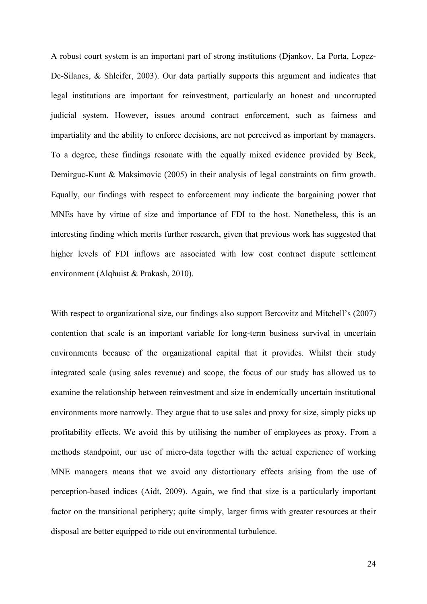A robust court system is an important part of strong institutions (Djankov, La Porta, Lopez-De-Silanes, & Shleifer, 2003). Our data partially supports this argument and indicates that legal institutions are important for reinvestment, particularly an honest and uncorrupted judicial system. However, issues around contract enforcement, such as fairness and impartiality and the ability to enforce decisions, are not perceived as important by managers. To a degree, these findings resonate with the equally mixed evidence provided by Beck, Demirguc-Kunt & Maksimovic (2005) in their analysis of legal constraints on firm growth. Equally, our findings with respect to enforcement may indicate the bargaining power that MNEs have by virtue of size and importance of FDI to the host. Nonetheless, this is an interesting finding which merits further research, given that previous work has suggested that higher levels of FDI inflows are associated with low cost contract dispute settlement environment (Alqhuist & Prakash, 2010).

With respect to organizational size, our findings also support Bercovitz and Mitchell's (2007) contention that scale is an important variable for long-term business survival in uncertain environments because of the organizational capital that it provides. Whilst their study integrated scale (using sales revenue) and scope, the focus of our study has allowed us to examine the relationship between reinvestment and size in endemically uncertain institutional environments more narrowly. They argue that to use sales and proxy for size, simply picks up profitability effects. We avoid this by utilising the number of employees as proxy. From a methods standpoint, our use of micro-data together with the actual experience of working MNE managers means that we avoid any distortionary effects arising from the use of perception-based indices (Aidt, 2009). Again, we find that size is a particularly important factor on the transitional periphery; quite simply, larger firms with greater resources at their disposal are better equipped to ride out environmental turbulence.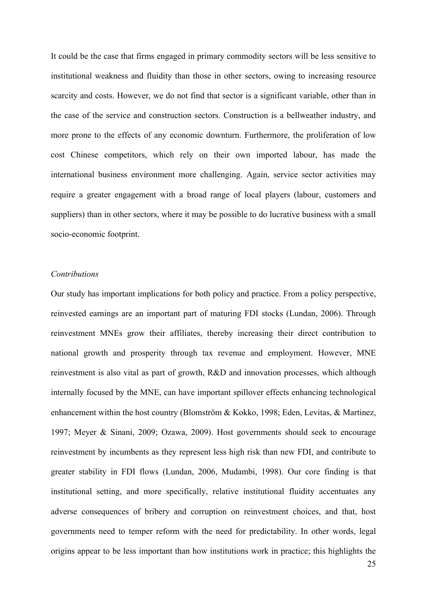It could be the case that firms engaged in primary commodity sectors will be less sensitive to institutional weakness and fluidity than those in other sectors, owing to increasing resource scarcity and costs. However, we do not find that sector is a significant variable, other than in the case of the service and construction sectors. Construction is a bellweather industry, and more prone to the effects of any economic downturn. Furthermore, the proliferation of low cost Chinese competitors, which rely on their own imported labour, has made the international business environment more challenging. Again, service sector activities may require a greater engagement with a broad range of local players (labour, customers and suppliers) than in other sectors, where it may be possible to do lucrative business with a small socio-economic footprint.

#### *Contributions*

Our study has important implications for both policy and practice. From a policy perspective, reinvested earnings are an important part of maturing FDI stocks (Lundan, 2006). Through reinvestment MNEs grow their affiliates, thereby increasing their direct contribution to national growth and prosperity through tax revenue and employment. However, MNE reinvestment is also vital as part of growth, R&D and innovation processes, which although internally focused by the MNE, can have important spillover effects enhancing technological enhancement within the host country (Blomström & Kokko, 1998; Eden, Levitas, & Martinez, 1997; Meyer & Sinani, 2009; Ozawa, 2009). Host governments should seek to encourage reinvestment by incumbents as they represent less high risk than new FDI, and contribute to greater stability in FDI flows (Lundan, 2006, Mudambi, 1998). Our core finding is that institutional setting, and more specifically, relative institutional fluidity accentuates any adverse consequences of bribery and corruption on reinvestment choices, and that, host governments need to temper reform with the need for predictability. In other words, legal origins appear to be less important than how institutions work in practice; this highlights the

25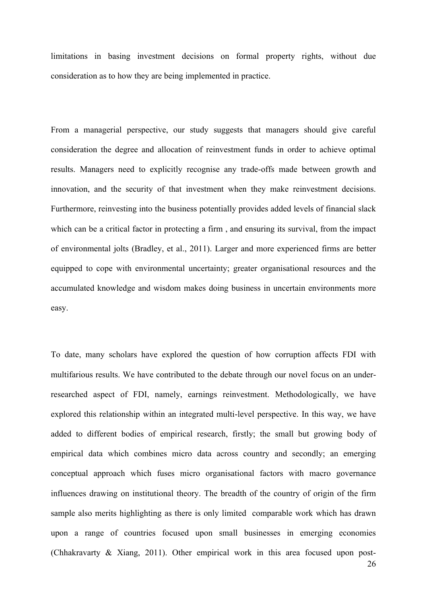limitations in basing investment decisions on formal property rights, without due consideration as to how they are being implemented in practice.

From a managerial perspective, our study suggests that managers should give careful consideration the degree and allocation of reinvestment funds in order to achieve optimal results. Managers need to explicitly recognise any trade-offs made between growth and innovation, and the security of that investment when they make reinvestment decisions. Furthermore, reinvesting into the business potentially provides added levels of financial slack which can be a critical factor in protecting a firm , and ensuring its survival, from the impact of environmental jolts (Bradley, et al., 2011). Larger and more experienced firms are better equipped to cope with environmental uncertainty; greater organisational resources and the accumulated knowledge and wisdom makes doing business in uncertain environments more easy.

To date, many scholars have explored the question of how corruption affects FDI with multifarious results. We have contributed to the debate through our novel focus on an underresearched aspect of FDI, namely, earnings reinvestment. Methodologically, we have explored this relationship within an integrated multi-level perspective. In this way, we have added to different bodies of empirical research, firstly; the small but growing body of empirical data which combines micro data across country and secondly; an emerging conceptual approach which fuses micro organisational factors with macro governance influences drawing on institutional theory. The breadth of the country of origin of the firm sample also merits highlighting as there is only limited comparable work which has drawn upon a range of countries focused upon small businesses in emerging economies (Chhakravarty & Xiang, 2011). Other empirical work in this area focused upon post-

26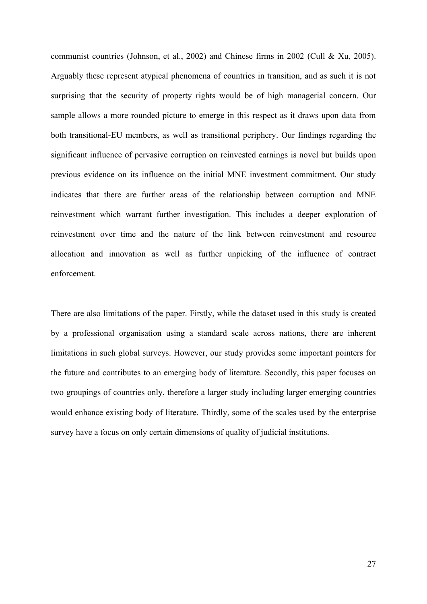communist countries (Johnson, et al., 2002) and Chinese firms in 2002 (Cull & Xu, 2005). Arguably these represent atypical phenomena of countries in transition, and as such it is not surprising that the security of property rights would be of high managerial concern. Our sample allows a more rounded picture to emerge in this respect as it draws upon data from both transitional-EU members, as well as transitional periphery. Our findings regarding the significant influence of pervasive corruption on reinvested earnings is novel but builds upon previous evidence on its influence on the initial MNE investment commitment. Our study indicates that there are further areas of the relationship between corruption and MNE reinvestment which warrant further investigation. This includes a deeper exploration of reinvestment over time and the nature of the link between reinvestment and resource allocation and innovation as well as further unpicking of the influence of contract enforcement.

There are also limitations of the paper. Firstly, while the dataset used in this study is created by a professional organisation using a standard scale across nations, there are inherent limitations in such global surveys. However, our study provides some important pointers for the future and contributes to an emerging body of literature. Secondly, this paper focuses on two groupings of countries only, therefore a larger study including larger emerging countries would enhance existing body of literature. Thirdly, some of the scales used by the enterprise survey have a focus on only certain dimensions of quality of judicial institutions.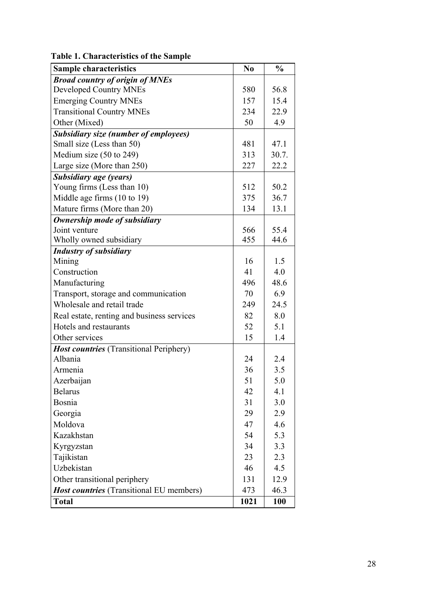| <b>Broad country of origin of MNEs</b><br><b>Developed Country MNEs</b><br>580<br>56.8<br><b>Emerging Country MNEs</b><br>157<br>15.4<br><b>Transitional Country MNEs</b><br>22.9<br>234<br>Other (Mixed)<br>50<br>4.9<br><b>Subsidiary size (number of employees)</b><br>Small size (Less than 50)<br>481<br>47.1<br>Medium size $(50 \text{ to } 249)$<br>313<br>30.7.<br>Large size (More than 250)<br>22.2<br>227<br>Subsidiary age (years)<br>Young firms (Less than 10)<br>512<br>50.2<br>Middle age firms (10 to 19)<br>375<br>36.7<br>Mature firms (More than 20)<br>13.1<br>134<br>Ownership mode of subsidiary<br>Joint venture<br>566<br>55.4<br>455<br>44.6<br>Wholly owned subsidiary<br><b>Industry of subsidiary</b><br>1.5<br>16<br>Mining<br>Construction<br>41<br>4.0<br>Manufacturing<br>496<br>48.6 |
|-------------------------------------------------------------------------------------------------------------------------------------------------------------------------------------------------------------------------------------------------------------------------------------------------------------------------------------------------------------------------------------------------------------------------------------------------------------------------------------------------------------------------------------------------------------------------------------------------------------------------------------------------------------------------------------------------------------------------------------------------------------------------------------------------------------------------|
|                                                                                                                                                                                                                                                                                                                                                                                                                                                                                                                                                                                                                                                                                                                                                                                                                         |
|                                                                                                                                                                                                                                                                                                                                                                                                                                                                                                                                                                                                                                                                                                                                                                                                                         |
|                                                                                                                                                                                                                                                                                                                                                                                                                                                                                                                                                                                                                                                                                                                                                                                                                         |
|                                                                                                                                                                                                                                                                                                                                                                                                                                                                                                                                                                                                                                                                                                                                                                                                                         |
|                                                                                                                                                                                                                                                                                                                                                                                                                                                                                                                                                                                                                                                                                                                                                                                                                         |
|                                                                                                                                                                                                                                                                                                                                                                                                                                                                                                                                                                                                                                                                                                                                                                                                                         |
|                                                                                                                                                                                                                                                                                                                                                                                                                                                                                                                                                                                                                                                                                                                                                                                                                         |
|                                                                                                                                                                                                                                                                                                                                                                                                                                                                                                                                                                                                                                                                                                                                                                                                                         |
|                                                                                                                                                                                                                                                                                                                                                                                                                                                                                                                                                                                                                                                                                                                                                                                                                         |
|                                                                                                                                                                                                                                                                                                                                                                                                                                                                                                                                                                                                                                                                                                                                                                                                                         |
|                                                                                                                                                                                                                                                                                                                                                                                                                                                                                                                                                                                                                                                                                                                                                                                                                         |
|                                                                                                                                                                                                                                                                                                                                                                                                                                                                                                                                                                                                                                                                                                                                                                                                                         |
|                                                                                                                                                                                                                                                                                                                                                                                                                                                                                                                                                                                                                                                                                                                                                                                                                         |
|                                                                                                                                                                                                                                                                                                                                                                                                                                                                                                                                                                                                                                                                                                                                                                                                                         |
|                                                                                                                                                                                                                                                                                                                                                                                                                                                                                                                                                                                                                                                                                                                                                                                                                         |
|                                                                                                                                                                                                                                                                                                                                                                                                                                                                                                                                                                                                                                                                                                                                                                                                                         |
|                                                                                                                                                                                                                                                                                                                                                                                                                                                                                                                                                                                                                                                                                                                                                                                                                         |
|                                                                                                                                                                                                                                                                                                                                                                                                                                                                                                                                                                                                                                                                                                                                                                                                                         |
|                                                                                                                                                                                                                                                                                                                                                                                                                                                                                                                                                                                                                                                                                                                                                                                                                         |
|                                                                                                                                                                                                                                                                                                                                                                                                                                                                                                                                                                                                                                                                                                                                                                                                                         |
| Transport, storage and communication<br>70<br>6.9                                                                                                                                                                                                                                                                                                                                                                                                                                                                                                                                                                                                                                                                                                                                                                       |
| Wholesale and retail trade<br>249<br>24.5                                                                                                                                                                                                                                                                                                                                                                                                                                                                                                                                                                                                                                                                                                                                                                               |
| 82<br>8.0<br>Real estate, renting and business services                                                                                                                                                                                                                                                                                                                                                                                                                                                                                                                                                                                                                                                                                                                                                                 |
| Hotels and restaurants<br>52<br>5.1                                                                                                                                                                                                                                                                                                                                                                                                                                                                                                                                                                                                                                                                                                                                                                                     |
| Other services<br>15<br>1.4                                                                                                                                                                                                                                                                                                                                                                                                                                                                                                                                                                                                                                                                                                                                                                                             |
| <b>Host countries</b> (Transitional Periphery)                                                                                                                                                                                                                                                                                                                                                                                                                                                                                                                                                                                                                                                                                                                                                                          |
| Albania<br>24<br>2.4                                                                                                                                                                                                                                                                                                                                                                                                                                                                                                                                                                                                                                                                                                                                                                                                    |
| 36<br>3.5<br>Armenia                                                                                                                                                                                                                                                                                                                                                                                                                                                                                                                                                                                                                                                                                                                                                                                                    |
| 51<br>5.0<br>Azerbaijan                                                                                                                                                                                                                                                                                                                                                                                                                                                                                                                                                                                                                                                                                                                                                                                                 |
| <b>Belarus</b><br>42<br>4.1                                                                                                                                                                                                                                                                                                                                                                                                                                                                                                                                                                                                                                                                                                                                                                                             |
| Bosnia<br>31<br>3.0                                                                                                                                                                                                                                                                                                                                                                                                                                                                                                                                                                                                                                                                                                                                                                                                     |
| Georgia<br>2.9<br>29                                                                                                                                                                                                                                                                                                                                                                                                                                                                                                                                                                                                                                                                                                                                                                                                    |
| Moldova<br>47<br>4.6                                                                                                                                                                                                                                                                                                                                                                                                                                                                                                                                                                                                                                                                                                                                                                                                    |
| Kazakhstan<br>5.3<br>54                                                                                                                                                                                                                                                                                                                                                                                                                                                                                                                                                                                                                                                                                                                                                                                                 |
| 3.3<br>Kyrgyzstan<br>34                                                                                                                                                                                                                                                                                                                                                                                                                                                                                                                                                                                                                                                                                                                                                                                                 |
| Tajikistan<br>23<br>2.3                                                                                                                                                                                                                                                                                                                                                                                                                                                                                                                                                                                                                                                                                                                                                                                                 |
| Uzbekistan<br>46<br>4.5                                                                                                                                                                                                                                                                                                                                                                                                                                                                                                                                                                                                                                                                                                                                                                                                 |
| Other transitional periphery<br>12.9<br>131                                                                                                                                                                                                                                                                                                                                                                                                                                                                                                                                                                                                                                                                                                                                                                             |
| <b>Host countries</b> (Transitional EU members)<br>473<br>46.3                                                                                                                                                                                                                                                                                                                                                                                                                                                                                                                                                                                                                                                                                                                                                          |
| <b>Total</b><br>1021<br><b>100</b>                                                                                                                                                                                                                                                                                                                                                                                                                                                                                                                                                                                                                                                                                                                                                                                      |

# **Table 1. Characteristics of the Sample**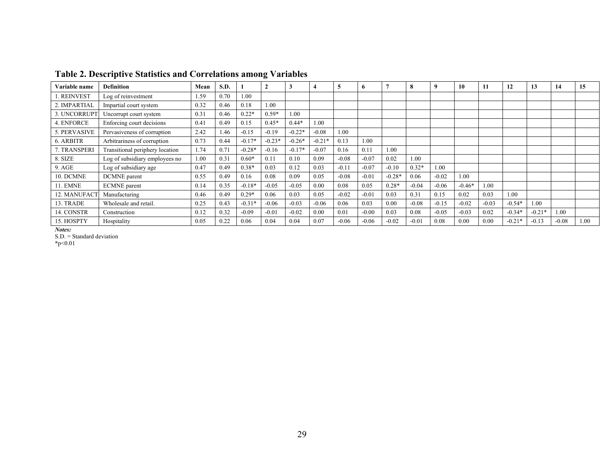| Variable name   | <b>Definition</b>               | Mean | S.D. |          | $\overline{2}$ | 3        |          | 5       | $\mathbf{p}$ |          | 8       | 9       | 10       | 11      | 12       | 13       | 14      | 15   |
|-----------------|---------------------------------|------|------|----------|----------------|----------|----------|---------|--------------|----------|---------|---------|----------|---------|----------|----------|---------|------|
| <b>REINVEST</b> | Log of reinvestment             | 1.59 | 0.70 | 1.00     |                |          |          |         |              |          |         |         |          |         |          |          |         |      |
| 2. IMPARTIAL    | Impartial court system          | 0.32 | 0.46 | 0.18     | 1.00           |          |          |         |              |          |         |         |          |         |          |          |         |      |
| 3. UNCORRUPT    | Uncorrupt court system          | 0.31 | 0.46 | $0.22*$  | $0.59*$        | 00.1     |          |         |              |          |         |         |          |         |          |          |         |      |
| 4. ENFORCE      | Enforcing court decisions       | 0.41 | 0.49 | 0.15     | $0.45*$        | $0.44*$  | 1.00     |         |              |          |         |         |          |         |          |          |         |      |
| . PERVASIVE     | Pervasiveness of corruption     | 2.42 | 1.46 | $-0.15$  | $-0.19$        | $-0.22*$ | $-0.08$  | 1.00    |              |          |         |         |          |         |          |          |         |      |
| 6. ARBITR       | Arbitrariness of corruption     | 0.73 | 0.44 | $-0.17*$ | $-0.23*$       | $-0.26*$ | $-0.21*$ | 0.13    | 1.00         |          |         |         |          |         |          |          |         |      |
| . TRANSPERI     | Transitional periphery location | 1.74 | 0.71 | $-0.28*$ | $-0.16$        | $-0.17*$ | $-0.07$  | 0.16    | 0.11         | 1.00     |         |         |          |         |          |          |         |      |
| 8. SIZE         | Log of subsidiary employees no  | 1.00 | 0.31 | $0.60*$  | 0.11           | 0.10     | 0.09     | $-0.08$ | $-0.07$      | 0.02     | 1.00    |         |          |         |          |          |         |      |
| 9. AGE          | Log of subsidiary age           | 0.47 | 0.49 | $0.38*$  | 0.03           | 0.12     | 0.03     | $-0.11$ | $-0.07$      | $-0.10$  | $0.32*$ | 1.00    |          |         |          |          |         |      |
| 10. DCMNE       | DCMNE parent                    | 0.55 | 0.49 | 0.16     | 0.08           | 0.09     | 0.05     | $-0.08$ | $-0.01$      | $-0.28*$ | 0.06    | $-0.02$ | 1.00     |         |          |          |         |      |
| <b>11. EMNE</b> | <b>ECMNE</b> parent             | 0.14 | 0.35 | $-0.18*$ | $-0.05$        | $-0.05$  | 0.00     | 0.08    | 0.05         | $0.28*$  | $-0.04$ | $-0.06$ | $-0.46*$ | 1.00    |          |          |         |      |
| 12. MANUFAC'    | Manufacturing                   | 0.46 | 0.49 | $0.29*$  | 0.06           | 0.03     | 0.05     | $-0.02$ | $-0.01$      | 0.03     | 0.31    | 0.15    | 0.02     | 0.03    | 1.00     |          |         |      |
| 13. TRADE       | Wholesale and retail.           | 0.25 | 0.43 | $-0.31*$ | $-0.06$        | $-0.03$  | $-0.06$  | 0.06    | 0.03         | 0.00     | $-0.08$ | $-0.15$ | $-0.02$  | $-0.03$ | $-0.54*$ | 1.00     |         |      |
| 14. CONSTR      | Construction                    | 0.12 | 0.32 | $-0.09$  | $-0.01$        | $-0.02$  | 0.00     | 0.01    | $-0.00$      | 0.03     | 0.08    | $-0.05$ | $-0.03$  | 0.02    | $-0.34*$ | $-0.21*$ | 1.00    |      |
| 15. HOSPTY      | Hospitality                     | 0.05 | 0.22 | 0.06     | 0.04           | 0.04     | 0.07     | $-0.06$ | $-0.06$      | $-0.02$  | $-0.01$ | 0.08    | 0.00     | 0.00    | $-0.21*$ | $-0.13$  | $-0.08$ | 1.00 |

# **Table 2. Descriptive Statistics and Correlations among Variables**

*Notes:*

S.D. = Standard deviation

**\***p<0.01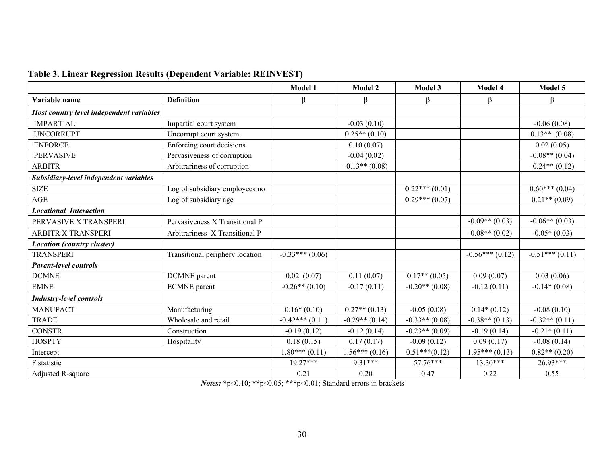|                                          |                                 | Model 1          | Model 2          | Model 3          | Model 4          | Model 5          |
|------------------------------------------|---------------------------------|------------------|------------------|------------------|------------------|------------------|
| Variable name                            | <b>Definition</b>               | β                | β                | $\beta$          | $\beta$          | $\beta$          |
| Host country level independent variables |                                 |                  |                  |                  |                  |                  |
| <b>IMPARTIAL</b>                         | Impartial court system          |                  | $-0.03(0.10)$    |                  |                  | $-0.06(0.08)$    |
| <b>UNCORRUPT</b>                         | Uncorrupt court system          |                  | $0.25**$ (0.10)  |                  |                  | $0.13**$ (0.08)  |
| <b>ENFORCE</b>                           | Enforcing court decisions       |                  | 0.10(0.07)       |                  |                  | 0.02(0.05)       |
| <b>PERVASIVE</b>                         | Pervasiveness of corruption     |                  | $-0.04(0.02)$    |                  |                  | $-0.08**$ (0.04) |
| <b>ARBITR</b>                            | Arbitrariness of corruption     |                  | $-0.13**$ (0.08) |                  |                  | $-0.24**$ (0.12) |
| Subsidiary-level independent variables   |                                 |                  |                  |                  |                  |                  |
| <b>SIZE</b>                              | Log of subsidiary employees no  |                  |                  | $0.22***(0.01)$  |                  | $0.60***(0.04)$  |
| <b>AGE</b>                               | Log of subsidiary age           |                  |                  | $0.29***(0.07)$  |                  | $0.21**$ (0.09)  |
| <b>Locational Interaction</b>            |                                 |                  |                  |                  |                  |                  |
| PERVASIVE X TRANSPERI                    | Pervasiveness X Transitional P  |                  |                  |                  | $-0.09**$ (0.03) | $-0.06**$ (0.03) |
| <b>ARBITR X TRANSPERI</b>                | Arbitrariness X Transitional P  |                  |                  |                  | $-0.08**$ (0.02) | $-0.05*(0.03)$   |
| <b>Location (country cluster)</b>        |                                 |                  |                  |                  |                  |                  |
| <b>TRANSPERI</b>                         | Transitional periphery location | $-0.33***(0.06)$ |                  |                  | $-0.56***(0.12)$ | $-0.51***(0.11)$ |
| <b>Parent-level controls</b>             |                                 |                  |                  |                  |                  |                  |
| <b>DCMNE</b>                             | <b>DCMNE</b> parent             | $0.02$ $(0.07)$  | 0.11(0.07)       | $0.17**$ (0.05)  | 0.09(0.07)       | 0.03(0.06)       |
| <b>EMNE</b>                              | <b>ECMNE</b> parent             | $-0.26**$ (0.10) | $-0.17(0.11)$    | $-0.20**$ (0.08) | $-0.12(0.11)$    | $-0.14*(0.08)$   |
| <b>Industry-level controls</b>           |                                 |                  |                  |                  |                  |                  |
| <b>MANUFACT</b>                          | Manufacturing                   | $0.16*(0.10)$    | $0.27**$ (0.13)  | $-0.05(0.08)$    | $0.14*(0.12)$    | $-0.08(0.10)$    |
| <b>TRADE</b>                             | Wholesale and retail            | $-0.42***(0.11)$ | $-0.29**$ (0.14) | $-0.33**$ (0.08) | $-0.38**$ (0.13) | $-0.32**$ (0.11) |
| <b>CONSTR</b>                            | Construction                    | $-0.19(0.12)$    | $-0.12(0.14)$    | $-0.23**$ (0.09) | $-0.19(0.14)$    | $-0.21*(0.11)$   |
| <b>HOSPTY</b>                            | Hospitality                     | 0.18(0.15)       | 0.17(0.17)       | $-0.09(0.12)$    | 0.09(0.17)       | $-0.08(0.14)$    |
| Intercept                                |                                 | $1.80***(0.11)$  | $1.56***(0.16)$  | $0.51***(0.12)$  | $1.95***(0.13)$  | $0.82**$ (0.20)  |
| F statistic                              |                                 | $19.27***$       | 9.31***          | $57.76***$       | $13.30***$       | $26.93***$       |
| Adjusted R-square                        |                                 | 0.21             | 0.20             | 0.47             | 0.22             | 0.55             |

# **Table 3. Linear Regression Results (Dependent Variable: REINVEST)**

*Notes:* **\***p<0.10; **\*\***p<0.05; **\*\*\***p<0.01; Standard errors in brackets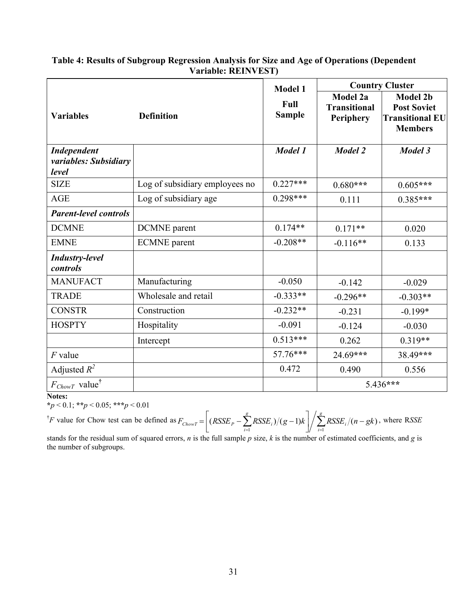# **Table 4: Results of Subgroup Regression Analysis for Size and Age of Operations (Dependent Variable: REINVEST)**

|                                                      |                                | <b>Model 1</b>        | <b>Country Cluster</b>                       |                                                                                   |  |  |  |
|------------------------------------------------------|--------------------------------|-----------------------|----------------------------------------------|-----------------------------------------------------------------------------------|--|--|--|
| <b>Variables</b>                                     | <b>Definition</b>              | Full<br><b>Sample</b> | Model 2a<br><b>Transitional</b><br>Periphery | <b>Model 2b</b><br><b>Post Soviet</b><br><b>Transitional EU</b><br><b>Members</b> |  |  |  |
| <b>Independent</b><br>variables: Subsidiary<br>level |                                | Model 1               | Model 2                                      | <b>Model 3</b>                                                                    |  |  |  |
| <b>SIZE</b>                                          | Log of subsidiary employees no | $0.227***$            | $0.680***$                                   | $0.605***$                                                                        |  |  |  |
| <b>AGE</b>                                           | Log of subsidiary age          | $0.298***$            | 0.111                                        | $0.385***$                                                                        |  |  |  |
| <b>Parent-level controls</b>                         |                                |                       |                                              |                                                                                   |  |  |  |
| <b>DCMNE</b>                                         | <b>DCMNE</b> parent            | $0.174**$             | $0.171**$                                    | 0.020                                                                             |  |  |  |
| <b>EMNE</b>                                          | <b>ECMNE</b> parent            | $-0.208**$            | $-0.116**$                                   | 0.133                                                                             |  |  |  |
| <b>Industry-level</b><br>controls                    |                                |                       |                                              |                                                                                   |  |  |  |
| <b>MANUFACT</b>                                      | Manufacturing                  | $-0.050$              | $-0.142$                                     | $-0.029$                                                                          |  |  |  |
| <b>TRADE</b>                                         | Wholesale and retail           | $-0.333**$            | $-0.296**$                                   | $-0.303**$                                                                        |  |  |  |
| <b>CONSTR</b>                                        | Construction                   | $-0.232**$            | $-0.231$                                     | $-0.199*$                                                                         |  |  |  |
| <b>HOSPTY</b>                                        | Hospitality                    | $-0.091$              | $-0.124$                                     | $-0.030$                                                                          |  |  |  |
|                                                      | Intercept                      | $0.513***$            | 0.262                                        | $0.319**$                                                                         |  |  |  |
| $F$ value                                            |                                | 57.76***              | $24.69***$                                   | 38.49***                                                                          |  |  |  |
| Adjusted $R^2$                                       |                                | 0.472                 | 0.490                                        | 0.556                                                                             |  |  |  |
| $F_{ChowT}$ value <sup>†</sup>                       |                                |                       | 5.436***                                     |                                                                                   |  |  |  |

**Notes:**

**\****p* < 0.1; **\*\****p* < 0.05; **\*\*\****p* < 0.01

<sup>†</sup>*F* value for Chow test can be defined as  $F_{ChowT} = \left[ (RSSE_p - \sum_{i=1}^{8} RSSE_i)/(g-1)k \right] / \sum_{i=1}^{8} RSSE_i/(n-1)$  $\overline{\phantom{a}}$  $\overline{\phantom{a}}$  $=\left[ (RSSE_p - \sum_{i=1}^{g} RSSE_i)/(g-1)k \right] / \sum_{i=1}^{g}$  $\sum_{i=1}^{I \cup SL}$ *g*  $F_{ChowT} = \left[ (RSSE_p - \sum_{i=1}^{n} RSSE_i)/(g-1)k \right] / \sum_{i=1}^{n} RSSE_i/(n-gk)$  $(RSSE_p - \sum RSSE_i)/(g-1)k \left/ \sum RSSE_i/(n-gk)$ , where RSSE

stands for the residual sum of squared errors, *n* is the full sample *p* size, *k* is the number of estimated coefficients, and *g* is the number of subgroups.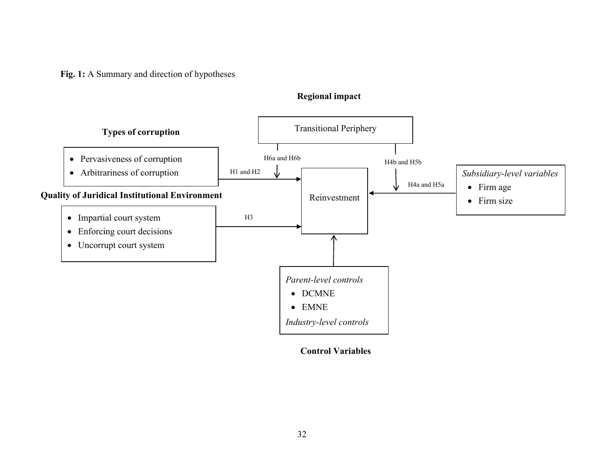**Fig. 1:** A Summary and direction of hypotheses



# **Control Variables**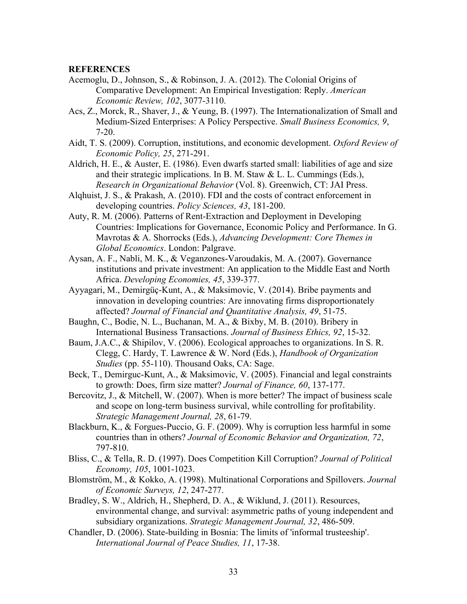## **REFERENCES**

- Acemoglu, D., Johnson, S., & Robinson, J. A. (2012). The Colonial Origins of Comparative Development: An Empirical Investigation: Reply. *American Economic Review, 102*, 3077-3110.
- Acs, Z., Morck, R., Shaver, J., & Yeung, B. (1997). The Internationalization of Small and Medium-Sized Enterprises: A Policy Perspective. *Small Business Economics, 9*, 7-20.
- Aidt, T. S. (2009). Corruption, institutions, and economic development. *Oxford Review of Economic Policy, 25*, 271-291.
- Aldrich, H. E., & Auster, E. (1986). Even dwarfs started small: liabilities of age and size and their strategic implications. In B. M. Staw & L. L. Cummings (Eds.), *Research in Organizational Behavior* (Vol. 8). Greenwich, CT: JAI Press.
- Alqhuist, J. S., & Prakash, A. (2010). FDI and the costs of contract enforcement in developing countries. *Policy Sciences, 43*, 181-200.
- Auty, R. M. (2006). Patterns of Rent-Extraction and Deployment in Developing Countries: Implications for Governance, Economic Policy and Performance. In G. Mavrotas & A. Shorrocks (Eds.), *Advancing Development: Core Themes in Global Economics*. London: Palgrave.
- Aysan, A. F., Nabli, M. K., & Veganzones-Varoudakis, M. A. (2007). Governance institutions and private investment: An application to the Middle East and North Africa. *Developing Economies, 45*, 339-377.
- Ayyagari, M., Demirgüç-Kunt, A., & Maksimovic, V. (2014). Bribe payments and innovation in developing countries: Are innovating firms disproportionately affected? *Journal of Financial and Quantitative Analysis, 49*, 51-75.
- Baughn, C., Bodie, N. L., Buchanan, M. A., & Bixby, M. B. (2010). Bribery in International Business Transactions. *Journal of Business Ethics, 92*, 15-32.
- Baum, J.A.C., & Shipilov, V. (2006). Ecological approaches to organizations. In S. R. Clegg, C. Hardy, T. Lawrence & W. Nord (Eds.), *Handbook of Organization Studies* (pp. 55-110). Thousand Oaks, CA: Sage.
- Beck, T., Demirguc-Kunt, A., & Maksimovic, V. (2005). Financial and legal constraints to growth: Does, firm size matter? *Journal of Finance, 60*, 137-177.
- Bercovitz, J., & Mitchell, W. (2007). When is more better? The impact of business scale and scope on long-term business survival, while controlling for profitability. *Strategic Management Journal, 28*, 61-79.
- Blackburn, K., & Forgues-Puccio, G. F. (2009). Why is corruption less harmful in some countries than in others? *Journal of Economic Behavior and Organization, 72*, 797-810.
- Bliss, C., & Tella, R. D. (1997). Does Competition Kill Corruption? *Journal of Political Economy, 105*, 1001-1023.
- Blomström, M., & Kokko, A. (1998). Multinational Corporations and Spillovers. *Journal of Economic Surveys, 12*, 247-277.
- Bradley, S. W., Aldrich, H., Shepherd, D. A., & Wiklund, J. (2011). Resources, environmental change, and survival: asymmetric paths of young independent and subsidiary organizations. *Strategic Management Journal, 32*, 486-509.
- Chandler, D. (2006). State-building in Bosnia: The limits of 'informal trusteeship'. *International Journal of Peace Studies, 11*, 17-38.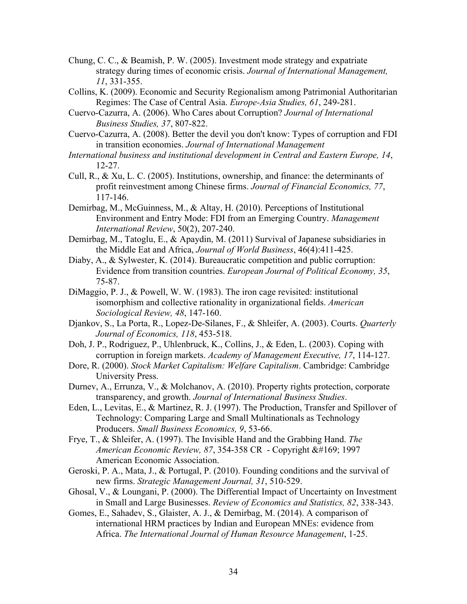- Chung, C. C., & Beamish, P. W. (2005). Investment mode strategy and expatriate strategy during times of economic crisis. *Journal of International Management, 11*, 331-355.
- Collins, K. (2009). Economic and Security Regionalism among Patrimonial Authoritarian Regimes: The Case of Central Asia. *Europe-Asia Studies, 61*, 249-281.
- Cuervo-Cazurra, A. (2006). Who Cares about Corruption? *Journal of International Business Studies, 37*, 807-822.
- Cuervo-Cazurra, A. (2008). Better the devil you don't know: Types of corruption and FDI in transition economies. *Journal of International Management*
- *International business and institutional development in Central and Eastern Europe, 14*, 12-27.
- Cull, R., & Xu, L. C. (2005). Institutions, ownership, and finance: the determinants of profit reinvestment among Chinese firms. *Journal of Financial Economics, 77*, 117-146.
- Demirbag, M., McGuinness, M., & Altay, H. (2010). Perceptions of Institutional Environment and Entry Mode: FDI from an Emerging Country. *Management International Review*, 50(2), 207-240.
- Demirbag, M., Tatoglu, E., & Apaydin, M. (2011) Survival of Japanese subsidiaries in the Middle Eat and Africa, *Journal of World Business*, 46(4):411-425.
- Diaby, A., & Sylwester, K. (2014). Bureaucratic competition and public corruption: Evidence from transition countries. *European Journal of Political Economy, 35*, 75-87.
- DiMaggio, P. J., & Powell, W. W. (1983). The iron cage revisited: institutional isomorphism and collective rationality in organizational fields. *American Sociological Review, 48*, 147-160.
- Djankov, S., La Porta, R., Lopez-De-Silanes, F., & Shleifer, A. (2003). Courts. *Quarterly Journal of Economics, 118*, 453-518.
- Doh, J. P., Rodriguez, P., Uhlenbruck, K., Collins, J., & Eden, L. (2003). Coping with corruption in foreign markets. *Academy of Management Executive, 17*, 114-127.
- Dore, R. (2000). *Stock Market Capitalism: Welfare Capitalism*. Cambridge: Cambridge University Press.
- Durnev, A., Errunza, V., & Molchanov, A. (2010). Property rights protection, corporate transparency, and growth. *Journal of International Business Studies*.
- Eden, L., Levitas, E., & Martinez, R. J. (1997). The Production, Transfer and Spillover of Technology: Comparing Large and Small Multinationals as Technology Producers. *Small Business Economics, 9*, 53-66.
- Frye, T., & Shleifer, A. (1997). The Invisible Hand and the Grabbing Hand. *The American Economic Review, 87, 354-358 CR - Copyright © 1997* American Economic Association.
- Geroski, P. A., Mata, J., & Portugal, P. (2010). Founding conditions and the survival of new firms. *Strategic Management Journal, 31*, 510-529.
- Ghosal, V., & Loungani, P. (2000). The Differential Impact of Uncertainty on Investment in Small and Large Businesses. *Review of Economics and Statistics, 82*, 338-343.
- Gomes, E., Sahadev, S., Glaister, A. J., & Demirbag, M. (2014). A comparison of international HRM practices by Indian and European MNEs: evidence from Africa. *The International Journal of Human Resource Management*, 1-25.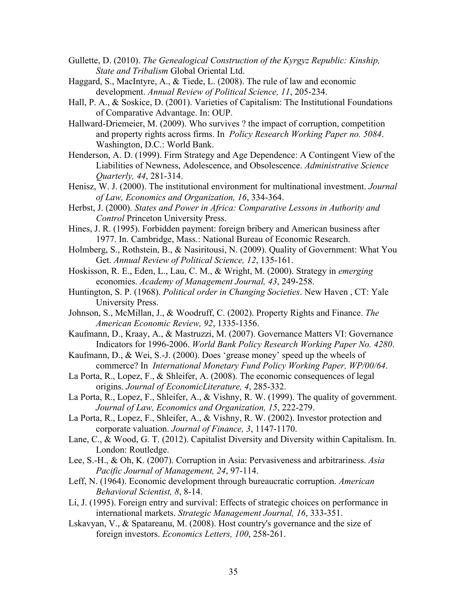- Gullette, D. (2010). *The Genealogical Construction of the Kyrgyz Republic: Kinship, State and Tribalism* Global Oriental Ltd.
- Haggard, S., MacIntyre, A., & Tiede, L. (2008). The rule of law and economic development. *Annual Review of Political Science, 11*, 205-234.
- Hall, P. A., & Soskice, D. (2001). Varieties of Capitalism: The Institutional Foundations of Comparative Advantage. In: OUP.
- Hallward-Driemeier, M. (2009). Who survives ? the impact of corruption, competition and property rights across firms. In *Policy Research Working Paper no. 5084*. Washington, D.C.: World Bank.
- Henderson, A. D. (1999). Firm Strategy and Age Dependence: A Contingent View of the Liabilities of Newness, Adolescence, and Obsolescence. *Administrative Science Quarterly, 44*, 281-314.
- Henisz, W. J. (2000). The institutional environment for multinational investment. *Journal of Law, Economics and Organization, 16*, 334-364.
- Herbst, J. (2000). *States and Power in Africa: Comparative Lessons in Authority and Control* Princeton University Press.
- Hines, J. R. (1995). Forbidden payment: foreign bribery and American business after 1977. In. Cambridge, Mass.: National Bureau of Economic Research.
- Holmberg, S., Rothstein, B., & Nasiritousi, N. (2009). Quality of Government: What You Get. *Annual Review of Political Science, 12*, 135-161.
- Hoskisson, R. E., Eden, L., Lau, C. M., & Wright, M. (2000). Strategy in *emerging* economies. *Academy of Management Journal, 43*, 249-258.
- Huntington, S. P. (1968). *Political order in Changing Societies*. New Haven , CT: Yale University Press.
- Johnson, S., McMillan, J., & Woodruff, C. (2002). Property Rights and Finance. *The American Economic Review, 92*, 1335-1356.
- Kaufmann, D., Kraay, A., & Mastruzzi, M. (2007). Governance Matters VI: Governance Indicators for 1996-2006. *World Bank Policy Research Working Paper No. 4280*.
- Kaufmann, D., & Wei, S.-J. (2000). Does 'grease money' speed up the wheels of commerce? In *International Monetary Fund Policy Working Paper, WP/00/64*.
- La Porta, R., Lopez, F., & Shleifer, A. (2008). The economic consequences of legal origins. *Journal of EconomicLiterature, 4*, 285-332.
- La Porta, R., Lopez, F., Shleifer, A., & Vishny, R. W. (1999). The quality of government. *Journal of Law, Economics and Organization, 15*, 222-279.
- La Porta, R., Lopez, F., Shleifer, A., & Vishny, R. W. (2002). Investor protection and corporate valuation. *Journal of Finance, 3*, 1147-1170.
- Lane, C., & Wood, G. T. (2012). Capitalist Diversity and Diversity within Capitalism. In. London: Routledge.
- Lee, S.-H., & Oh, K. (2007). Corruption in Asia: Pervasiveness and arbitrariness. *Asia Pacific Journal of Management, 24*, 97-114.
- Leff, N. (1964). Economic development through bureaucratic corruption. *American Behavioral Scientist, 8*, 8-14.
- Li, J. (1995). Foreign entry and survival: Effects of strategic choices on performance in international markets. *Strategic Management Journal, 16*, 333-351.
- Lskavyan, V., & Spatareanu, M. (2008). Host country's governance and the size of foreign investors. *Economics Letters, 100*, 258-261.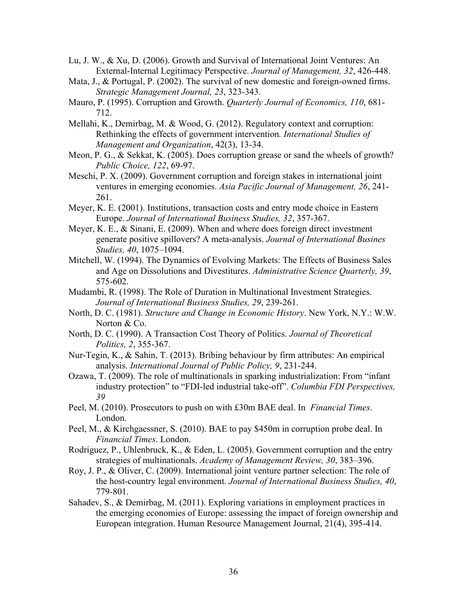- Lu, J. W., & Xu, D. (2006). Growth and Survival of International Joint Ventures: An External-Internal Legitimacy Perspective. *Journal of Management, 32*, 426-448.
- Mata, J., & Portugal, P. (2002). The survival of new domestic and foreign-owned firms. *Strategic Management Journal, 23*, 323-343.
- Mauro, P. (1995). Corruption and Growth. *Quarterly Journal of Economics, 110*, 681- 712.
- Mellahi, K., Demirbag, M. & Wood, G. (2012). Regulatory context and corruption: Rethinking the effects of government intervention*. International Studies of Management and Organization*, 42(3), 13-34.
- Meon, P. G., & Sekkat, K. (2005). Does corruption grease or sand the wheels of growth? *Public Choice, 122*, 69-97.
- Meschi, P. X. (2009). Government corruption and foreign stakes in international joint ventures in emerging economies. *Asia Pacific Journal of Management, 26*, 241- 261.
- Meyer, K. E. (2001). Institutions, transaction costs and entry mode choice in Eastern Europe. *Journal of International Business Studies, 32*, 357-367.
- Meyer, K. E., & Sinani, E. (2009). When and where does foreign direct investment generate positive spillovers? A meta-analysis. *Journal of International Busines Studies, 40*, 1075–1094.
- Mitchell, W. (1994). The Dynamics of Evolving Markets: The Effects of Business Sales and Age on Dissolutions and Divestitures. *Administrative Science Quarterly, 39*, 575-602.
- Mudambi, R. (1998). The Role of Duration in Multinational Investment Strategies. *Journal of International Business Studies, 29*, 239-261.
- North, D. C. (1981). *Structure and Change in Economic History*. New York, N.Y.: W.W. Norton & Co.
- North, D. C. (1990). A Transaction Cost Theory of Politics. *Journal of Theoretical Politics, 2*, 355-367.
- Nur-Tegin, K., & Sahin, T. (2013). Bribing behaviour by firm attributes: An empirical analysis. *International Journal of Public Policy, 9*, 231-244.
- Ozawa, T. (2009). The role of multinationals in sparking industrialization: From "infant industry protection" to "FDI-led industrial take-off". *Columbia FDI Perspectives, 39*
- Peel, M. (2010). Prosecutors to push on with £30m BAE deal. In *Financial Times*. London.
- Peel, M., & Kirchgaessner, S. (2010). BAE to pay \$450m in corruption probe deal. In *Financial Times*. London.
- Rodriguez, P., Uhlenbruck, K., & Eden, L. (2005). Government corruption and the entry strategies of multinationals. *Academy of Management Review, 30*, 383–396.
- Roy, J. P., & Oliver, C. (2009). International joint venture partner selection: The role of the host-country legal environment. *Journal of International Business Studies, 40*, 779-801.
- Sahadev, S., & Demirbag, M. (2011). Exploring variations in employment practices in the emerging economies of Europe: assessing the impact of foreign ownership and European integration. Human Resource Management Journal, 21(4), 395-414.